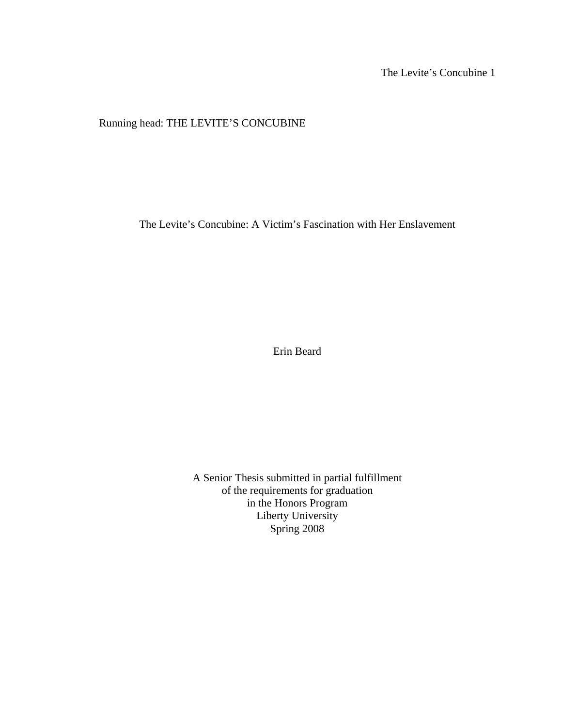The Levite's Concubine 1

Running head: THE LEVITE'S CONCUBINE

The Levite's Concubine: A Victim's Fascination with Her Enslavement

Erin Beard

A Senior Thesis submitted in partial fulfillment of the requirements for graduation in the Honors Program Liberty University Spring 2008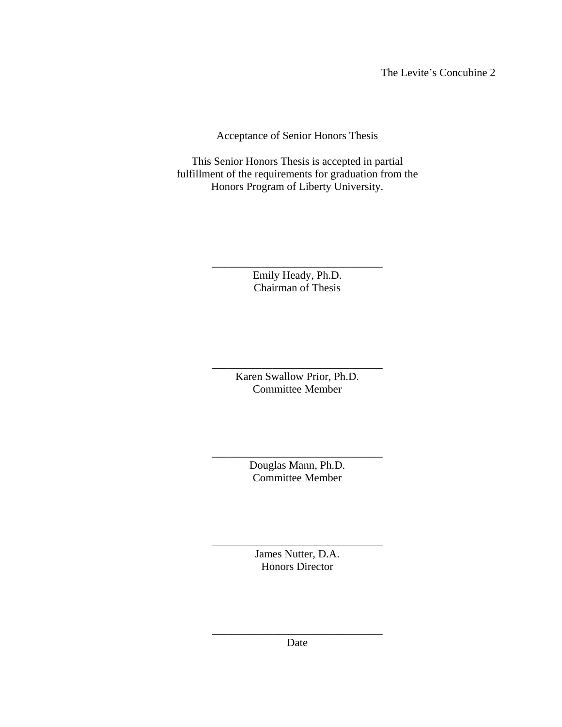The Levite's Concubine 2

Acceptance of Senior Honors Thesis

This Senior Honors Thesis is accepted in partial fulfillment of the requirements for graduation from the Honors Program of Liberty University.

> \_\_\_\_\_\_\_\_\_\_\_\_\_\_\_\_\_\_\_\_\_\_\_\_\_\_\_\_\_\_\_ Emily Heady, Ph.D. Chairman of Thesis

> \_\_\_\_\_\_\_\_\_\_\_\_\_\_\_\_\_\_\_\_\_\_\_\_\_\_\_\_\_\_\_ Karen Swallow Prior, Ph.D. Committee Member

> \_\_\_\_\_\_\_\_\_\_\_\_\_\_\_\_\_\_\_\_\_\_\_\_\_\_\_\_\_\_\_ Douglas Mann, Ph.D. Committee Member

> > James Nutter, D.A. Honors Director

\_\_\_\_\_\_\_\_\_\_\_\_\_\_\_\_\_\_\_\_\_\_\_\_\_\_\_\_\_\_\_

\_\_\_\_\_\_\_\_\_\_\_\_\_\_\_\_\_\_\_\_\_\_\_\_\_\_\_\_\_\_\_ Date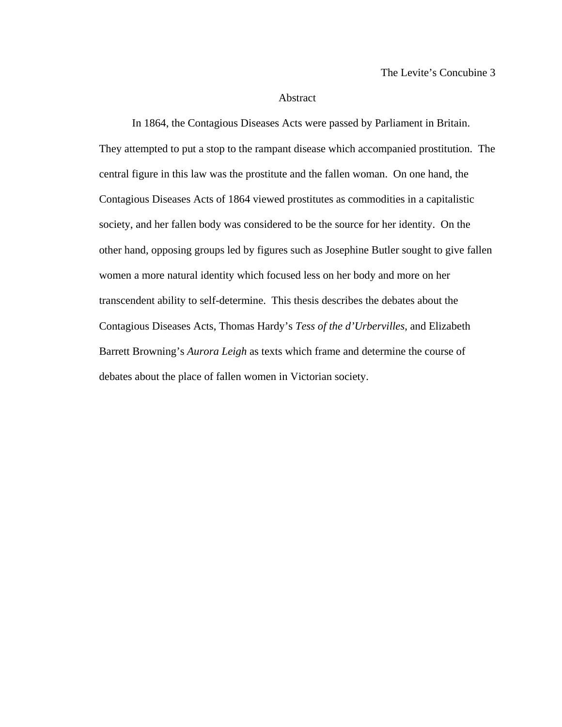### Abstract

 In 1864, the Contagious Diseases Acts were passed by Parliament in Britain. They attempted to put a stop to the rampant disease which accompanied prostitution. The central figure in this law was the prostitute and the fallen woman. On one hand, the Contagious Diseases Acts of 1864 viewed prostitutes as commodities in a capitalistic society, and her fallen body was considered to be the source for her identity. On the other hand, opposing groups led by figures such as Josephine Butler sought to give fallen women a more natural identity which focused less on her body and more on her transcendent ability to self-determine. This thesis describes the debates about the Contagious Diseases Acts, Thomas Hardy's *Tess of the d'Urbervilles*, and Elizabeth Barrett Browning's *Aurora Leigh* as texts which frame and determine the course of debates about the place of fallen women in Victorian society.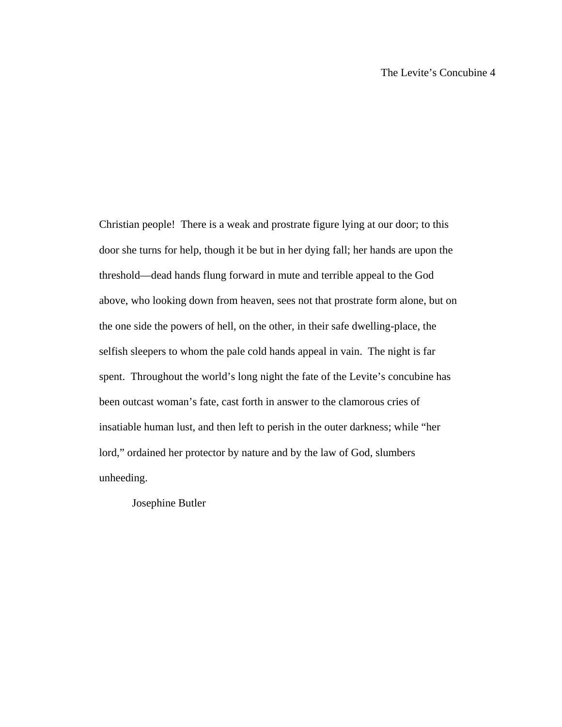Christian people! There is a weak and prostrate figure lying at our door; to this door she turns for help, though it be but in her dying fall; her hands are upon the threshold—dead hands flung forward in mute and terrible appeal to the God above, who looking down from heaven, sees not that prostrate form alone, but on the one side the powers of hell, on the other, in their safe dwelling-place, the selfish sleepers to whom the pale cold hands appeal in vain. The night is far spent. Throughout the world's long night the fate of the Levite's concubine has been outcast woman's fate, cast forth in answer to the clamorous cries of insatiable human lust, and then left to perish in the outer darkness; while "her lord," ordained her protector by nature and by the law of God, slumbers unheeding.

Josephine Butler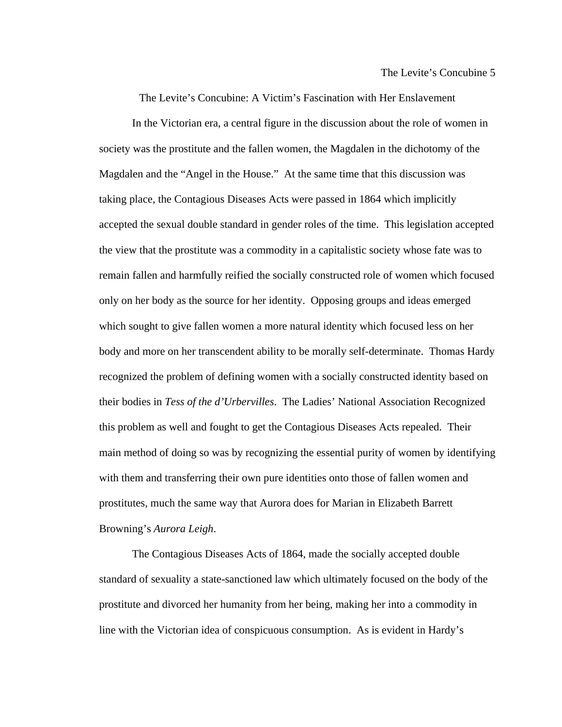The Levite's Concubine: A Victim's Fascination with Her Enslavement

 In the Victorian era, a central figure in the discussion about the role of women in society was the prostitute and the fallen women, the Magdalen in the dichotomy of the Magdalen and the "Angel in the House." At the same time that this discussion was taking place, the Contagious Diseases Acts were passed in 1864 which implicitly accepted the sexual double standard in gender roles of the time. This legislation accepted the view that the prostitute was a commodity in a capitalistic society whose fate was to remain fallen and harmfully reified the socially constructed role of women which focused only on her body as the source for her identity. Opposing groups and ideas emerged which sought to give fallen women a more natural identity which focused less on her body and more on her transcendent ability to be morally self-determinate. Thomas Hardy recognized the problem of defining women with a socially constructed identity based on their bodies in *Tess of the d'Urbervilles*. The Ladies' National Association Recognized this problem as well and fought to get the Contagious Diseases Acts repealed. Their main method of doing so was by recognizing the essential purity of women by identifying with them and transferring their own pure identities onto those of fallen women and prostitutes, much the same way that Aurora does for Marian in Elizabeth Barrett Browning's *Aurora Leigh*.

The Contagious Diseases Acts of 1864, made the socially accepted double standard of sexuality a state-sanctioned law which ultimately focused on the body of the prostitute and divorced her humanity from her being, making her into a commodity in line with the Victorian idea of conspicuous consumption. As is evident in Hardy's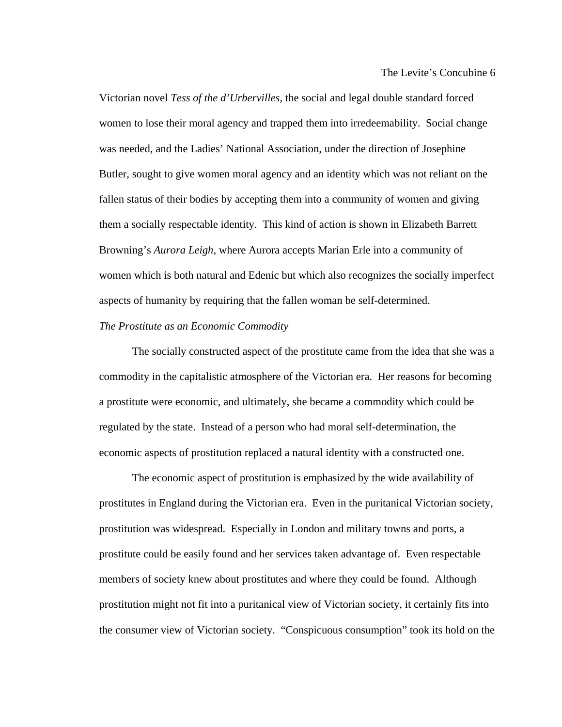Victorian novel *Tess of the d'Urbervilles*, the social and legal double standard forced women to lose their moral agency and trapped them into irredeemability. Social change was needed, and the Ladies' National Association, under the direction of Josephine Butler, sought to give women moral agency and an identity which was not reliant on the fallen status of their bodies by accepting them into a community of women and giving them a socially respectable identity. This kind of action is shown in Elizabeth Barrett Browning's *Aurora Leigh*, where Aurora accepts Marian Erle into a community of women which is both natural and Edenic but which also recognizes the socially imperfect aspects of humanity by requiring that the fallen woman be self-determined.

# *The Prostitute as an Economic Commodity*

The socially constructed aspect of the prostitute came from the idea that she was a commodity in the capitalistic atmosphere of the Victorian era. Her reasons for becoming a prostitute were economic, and ultimately, she became a commodity which could be regulated by the state. Instead of a person who had moral self-determination, the economic aspects of prostitution replaced a natural identity with a constructed one.

The economic aspect of prostitution is emphasized by the wide availability of prostitutes in England during the Victorian era. Even in the puritanical Victorian society, prostitution was widespread. Especially in London and military towns and ports, a prostitute could be easily found and her services taken advantage of. Even respectable members of society knew about prostitutes and where they could be found. Although prostitution might not fit into a puritanical view of Victorian society, it certainly fits into the consumer view of Victorian society. "Conspicuous consumption" took its hold on the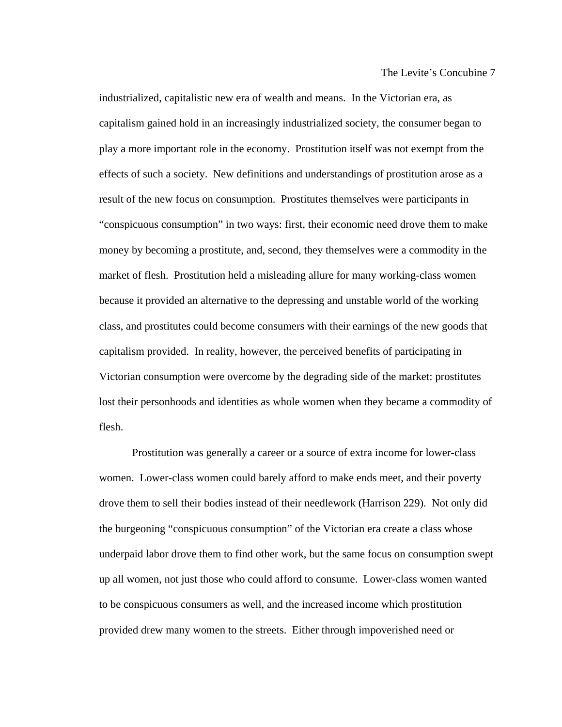industrialized, capitalistic new era of wealth and means. In the Victorian era, as capitalism gained hold in an increasingly industrialized society, the consumer began to play a more important role in the economy. Prostitution itself was not exempt from the effects of such a society. New definitions and understandings of prostitution arose as a result of the new focus on consumption. Prostitutes themselves were participants in "conspicuous consumption" in two ways: first, their economic need drove them to make money by becoming a prostitute, and, second, they themselves were a commodity in the market of flesh. Prostitution held a misleading allure for many working-class women because it provided an alternative to the depressing and unstable world of the working class, and prostitutes could become consumers with their earnings of the new goods that capitalism provided. In reality, however, the perceived benefits of participating in Victorian consumption were overcome by the degrading side of the market: prostitutes lost their personhoods and identities as whole women when they became a commodity of flesh.

 Prostitution was generally a career or a source of extra income for lower-class women. Lower-class women could barely afford to make ends meet, and their poverty drove them to sell their bodies instead of their needlework (Harrison 229). Not only did the burgeoning "conspicuous consumption" of the Victorian era create a class whose underpaid labor drove them to find other work, but the same focus on consumption swept up all women, not just those who could afford to consume. Lower-class women wanted to be conspicuous consumers as well, and the increased income which prostitution provided drew many women to the streets. Either through impoverished need or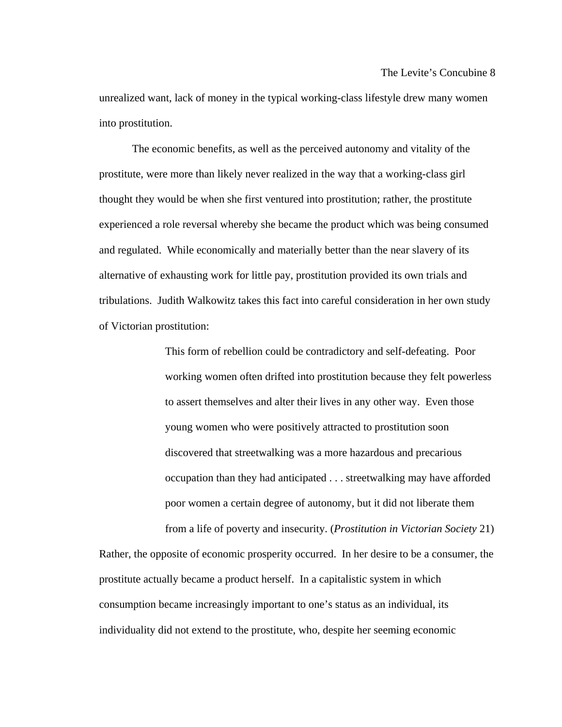unrealized want, lack of money in the typical working-class lifestyle drew many women into prostitution.

 The economic benefits, as well as the perceived autonomy and vitality of the prostitute, were more than likely never realized in the way that a working-class girl thought they would be when she first ventured into prostitution; rather, the prostitute experienced a role reversal whereby she became the product which was being consumed and regulated. While economically and materially better than the near slavery of its alternative of exhausting work for little pay, prostitution provided its own trials and tribulations. Judith Walkowitz takes this fact into careful consideration in her own study of Victorian prostitution:

> This form of rebellion could be contradictory and self-defeating. Poor working women often drifted into prostitution because they felt powerless to assert themselves and alter their lives in any other way. Even those young women who were positively attracted to prostitution soon discovered that streetwalking was a more hazardous and precarious occupation than they had anticipated . . . streetwalking may have afforded poor women a certain degree of autonomy, but it did not liberate them from a life of poverty and insecurity. (*Prostitution in Victorian Society* 21)

Rather, the opposite of economic prosperity occurred. In her desire to be a consumer, the prostitute actually became a product herself. In a capitalistic system in which consumption became increasingly important to one's status as an individual, its individuality did not extend to the prostitute, who, despite her seeming economic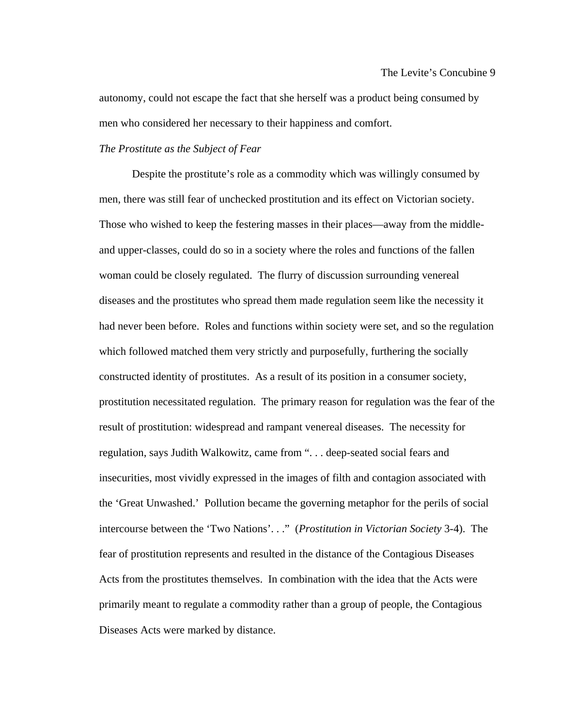autonomy, could not escape the fact that she herself was a product being consumed by men who considered her necessary to their happiness and comfort.

# *The Prostitute as the Subject of Fear*

 Despite the prostitute's role as a commodity which was willingly consumed by men, there was still fear of unchecked prostitution and its effect on Victorian society. Those who wished to keep the festering masses in their places—away from the middleand upper-classes, could do so in a society where the roles and functions of the fallen woman could be closely regulated. The flurry of discussion surrounding venereal diseases and the prostitutes who spread them made regulation seem like the necessity it had never been before. Roles and functions within society were set, and so the regulation which followed matched them very strictly and purposefully, furthering the socially constructed identity of prostitutes. As a result of its position in a consumer society, prostitution necessitated regulation. The primary reason for regulation was the fear of the result of prostitution: widespread and rampant venereal diseases. The necessity for regulation, says Judith Walkowitz, came from ". . . deep-seated social fears and insecurities, most vividly expressed in the images of filth and contagion associated with the 'Great Unwashed.' Pollution became the governing metaphor for the perils of social intercourse between the 'Two Nations'. . ." (*Prostitution in Victorian Society* 3-4). The fear of prostitution represents and resulted in the distance of the Contagious Diseases Acts from the prostitutes themselves. In combination with the idea that the Acts were primarily meant to regulate a commodity rather than a group of people, the Contagious Diseases Acts were marked by distance.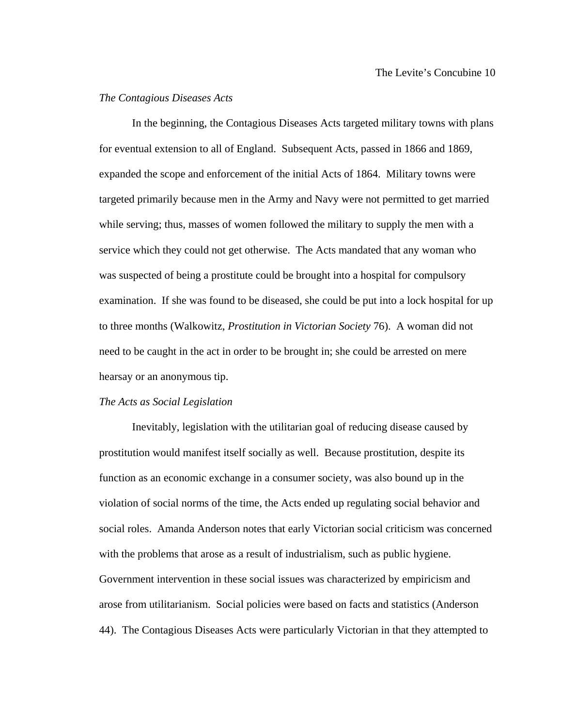# *The Contagious Diseases Acts*

 In the beginning, the Contagious Diseases Acts targeted military towns with plans for eventual extension to all of England. Subsequent Acts, passed in 1866 and 1869, expanded the scope and enforcement of the initial Acts of 1864. Military towns were targeted primarily because men in the Army and Navy were not permitted to get married while serving; thus, masses of women followed the military to supply the men with a service which they could not get otherwise. The Acts mandated that any woman who was suspected of being a prostitute could be brought into a hospital for compulsory examination. If she was found to be diseased, she could be put into a lock hospital for up to three months (Walkowitz, *Prostitution in Victorian Society* 76). A woman did not need to be caught in the act in order to be brought in; she could be arrested on mere hearsay or an anonymous tip.

#### *The Acts as Social Legislation*

 Inevitably, legislation with the utilitarian goal of reducing disease caused by prostitution would manifest itself socially as well. Because prostitution, despite its function as an economic exchange in a consumer society, was also bound up in the violation of social norms of the time, the Acts ended up regulating social behavior and social roles. Amanda Anderson notes that early Victorian social criticism was concerned with the problems that arose as a result of industrialism, such as public hygiene. Government intervention in these social issues was characterized by empiricism and arose from utilitarianism. Social policies were based on facts and statistics (Anderson 44). The Contagious Diseases Acts were particularly Victorian in that they attempted to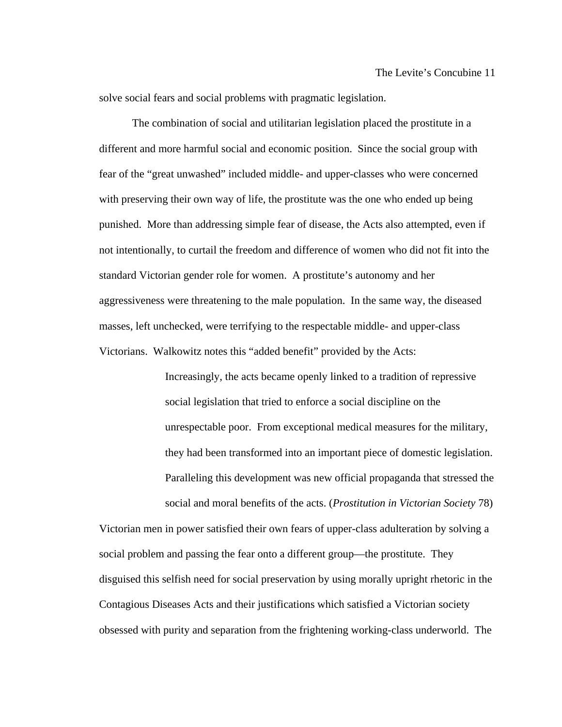solve social fears and social problems with pragmatic legislation.

 The combination of social and utilitarian legislation placed the prostitute in a different and more harmful social and economic position. Since the social group with fear of the "great unwashed" included middle- and upper-classes who were concerned with preserving their own way of life, the prostitute was the one who ended up being punished. More than addressing simple fear of disease, the Acts also attempted, even if not intentionally, to curtail the freedom and difference of women who did not fit into the standard Victorian gender role for women. A prostitute's autonomy and her aggressiveness were threatening to the male population. In the same way, the diseased masses, left unchecked, were terrifying to the respectable middle- and upper-class Victorians. Walkowitz notes this "added benefit" provided by the Acts:

> Increasingly, the acts became openly linked to a tradition of repressive social legislation that tried to enforce a social discipline on the unrespectable poor. From exceptional medical measures for the military, they had been transformed into an important piece of domestic legislation. Paralleling this development was new official propaganda that stressed the social and moral benefits of the acts. (*Prostitution in Victorian Society* 78)

Victorian men in power satisfied their own fears of upper-class adulteration by solving a social problem and passing the fear onto a different group—the prostitute. They disguised this selfish need for social preservation by using morally upright rhetoric in the Contagious Diseases Acts and their justifications which satisfied a Victorian society obsessed with purity and separation from the frightening working-class underworld. The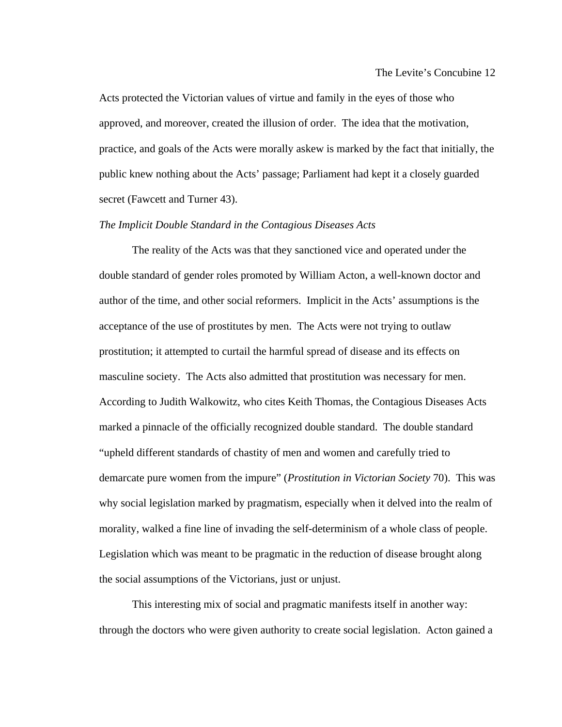Acts protected the Victorian values of virtue and family in the eyes of those who approved, and moreover, created the illusion of order. The idea that the motivation, practice, and goals of the Acts were morally askew is marked by the fact that initially, the public knew nothing about the Acts' passage; Parliament had kept it a closely guarded secret (Fawcett and Turner 43).

## *The Implicit Double Standard in the Contagious Diseases Acts*

 The reality of the Acts was that they sanctioned vice and operated under the double standard of gender roles promoted by William Acton, a well-known doctor and author of the time, and other social reformers. Implicit in the Acts' assumptions is the acceptance of the use of prostitutes by men. The Acts were not trying to outlaw prostitution; it attempted to curtail the harmful spread of disease and its effects on masculine society. The Acts also admitted that prostitution was necessary for men. According to Judith Walkowitz, who cites Keith Thomas, the Contagious Diseases Acts marked a pinnacle of the officially recognized double standard. The double standard "upheld different standards of chastity of men and women and carefully tried to demarcate pure women from the impure" (*Prostitution in Victorian Society* 70). This was why social legislation marked by pragmatism, especially when it delved into the realm of morality, walked a fine line of invading the self-determinism of a whole class of people. Legislation which was meant to be pragmatic in the reduction of disease brought along the social assumptions of the Victorians, just or unjust.

 This interesting mix of social and pragmatic manifests itself in another way: through the doctors who were given authority to create social legislation. Acton gained a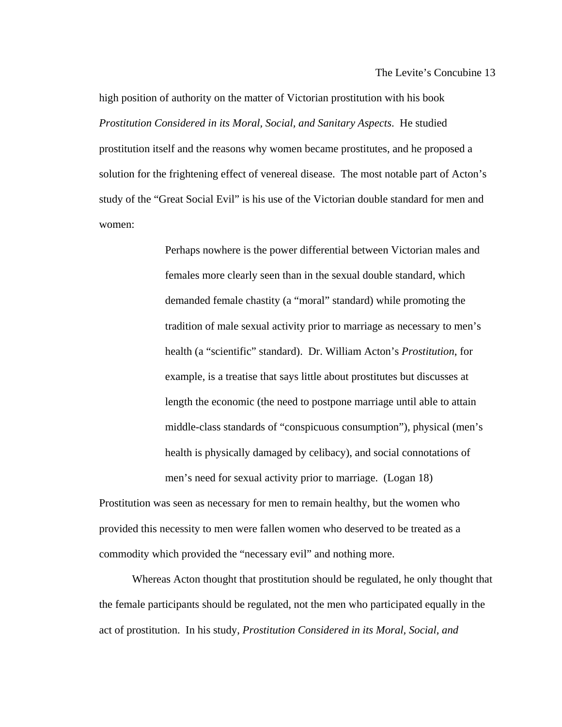high position of authority on the matter of Victorian prostitution with his book *Prostitution Considered in its Moral, Social, and Sanitary Aspects*. He studied prostitution itself and the reasons why women became prostitutes, and he proposed a solution for the frightening effect of venereal disease. The most notable part of Acton's study of the "Great Social Evil" is his use of the Victorian double standard for men and women:

> Perhaps nowhere is the power differential between Victorian males and females more clearly seen than in the sexual double standard, which demanded female chastity (a "moral" standard) while promoting the tradition of male sexual activity prior to marriage as necessary to men's health (a "scientific" standard). Dr. William Acton's *Prostitution*, for example, is a treatise that says little about prostitutes but discusses at length the economic (the need to postpone marriage until able to attain middle-class standards of "conspicuous consumption"), physical (men's health is physically damaged by celibacy), and social connotations of men's need for sexual activity prior to marriage. (Logan 18)

Prostitution was seen as necessary for men to remain healthy, but the women who provided this necessity to men were fallen women who deserved to be treated as a commodity which provided the "necessary evil" and nothing more.

 Whereas Acton thought that prostitution should be regulated, he only thought that the female participants should be regulated, not the men who participated equally in the act of prostitution. In his study, *Prostitution Considered in its Moral, Social, and*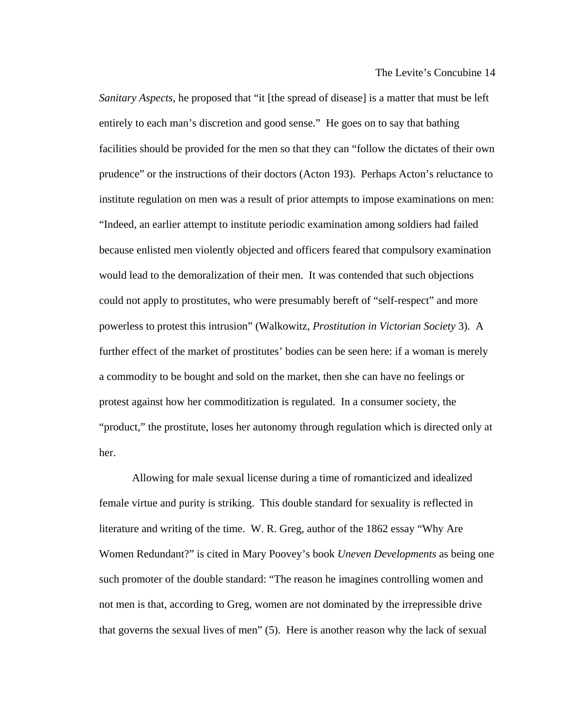*Sanitary Aspects*, he proposed that "it [the spread of disease] is a matter that must be left entirely to each man's discretion and good sense." He goes on to say that bathing facilities should be provided for the men so that they can "follow the dictates of their own prudence" or the instructions of their doctors (Acton 193). Perhaps Acton's reluctance to institute regulation on men was a result of prior attempts to impose examinations on men: "Indeed, an earlier attempt to institute periodic examination among soldiers had failed because enlisted men violently objected and officers feared that compulsory examination would lead to the demoralization of their men. It was contended that such objections could not apply to prostitutes, who were presumably bereft of "self-respect" and more powerless to protest this intrusion" (Walkowitz, *Prostitution in Victorian Society* 3). A further effect of the market of prostitutes' bodies can be seen here: if a woman is merely a commodity to be bought and sold on the market, then she can have no feelings or protest against how her commoditization is regulated. In a consumer society, the "product," the prostitute, loses her autonomy through regulation which is directed only at her.

 Allowing for male sexual license during a time of romanticized and idealized female virtue and purity is striking. This double standard for sexuality is reflected in literature and writing of the time. W. R. Greg, author of the 1862 essay "Why Are Women Redundant?" is cited in Mary Poovey's book *Uneven Developments* as being one such promoter of the double standard: "The reason he imagines controlling women and not men is that, according to Greg, women are not dominated by the irrepressible drive that governs the sexual lives of men" (5). Here is another reason why the lack of sexual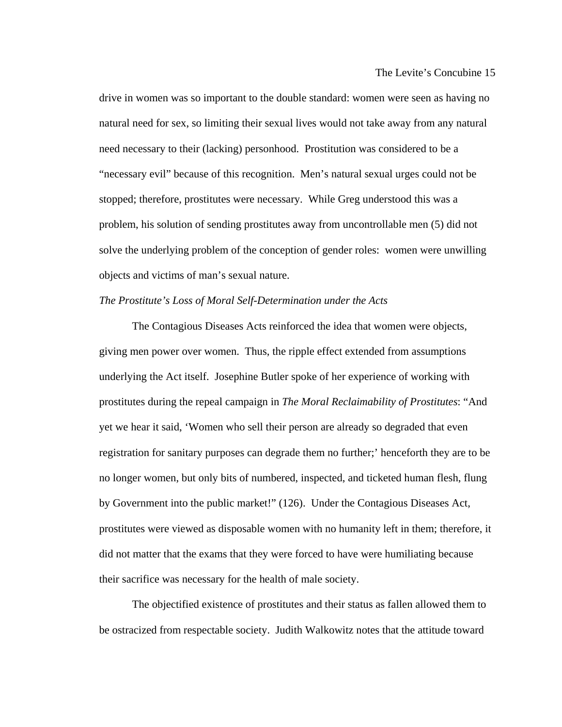drive in women was so important to the double standard: women were seen as having no natural need for sex, so limiting their sexual lives would not take away from any natural need necessary to their (lacking) personhood. Prostitution was considered to be a "necessary evil" because of this recognition. Men's natural sexual urges could not be stopped; therefore, prostitutes were necessary. While Greg understood this was a problem, his solution of sending prostitutes away from uncontrollable men (5) did not solve the underlying problem of the conception of gender roles: women were unwilling objects and victims of man's sexual nature.

## *The Prostitute's Loss of Moral Self-Determination under the Acts*

 The Contagious Diseases Acts reinforced the idea that women were objects, giving men power over women. Thus, the ripple effect extended from assumptions underlying the Act itself. Josephine Butler spoke of her experience of working with prostitutes during the repeal campaign in *The Moral Reclaimability of Prostitutes*: "And yet we hear it said, 'Women who sell their person are already so degraded that even registration for sanitary purposes can degrade them no further;' henceforth they are to be no longer women, but only bits of numbered, inspected, and ticketed human flesh, flung by Government into the public market!" (126). Under the Contagious Diseases Act, prostitutes were viewed as disposable women with no humanity left in them; therefore, it did not matter that the exams that they were forced to have were humiliating because their sacrifice was necessary for the health of male society.

 The objectified existence of prostitutes and their status as fallen allowed them to be ostracized from respectable society. Judith Walkowitz notes that the attitude toward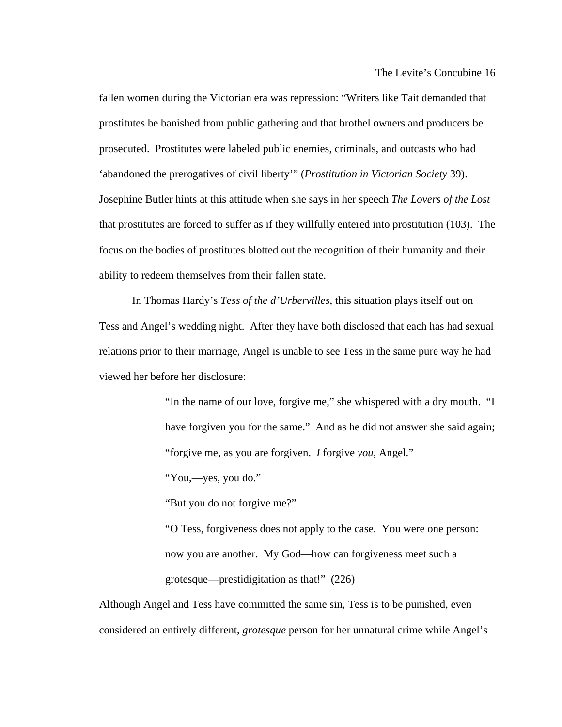fallen women during the Victorian era was repression: "Writers like Tait demanded that prostitutes be banished from public gathering and that brothel owners and producers be prosecuted. Prostitutes were labeled public enemies, criminals, and outcasts who had 'abandoned the prerogatives of civil liberty'" (*Prostitution in Victorian Society* 39). Josephine Butler hints at this attitude when she says in her speech *The Lovers of the Lost* that prostitutes are forced to suffer as if they willfully entered into prostitution (103). The focus on the bodies of prostitutes blotted out the recognition of their humanity and their ability to redeem themselves from their fallen state.

 In Thomas Hardy's *Tess of the d'Urbervilles*, this situation plays itself out on Tess and Angel's wedding night. After they have both disclosed that each has had sexual relations prior to their marriage, Angel is unable to see Tess in the same pure way he had viewed her before her disclosure:

> "In the name of our love, forgive me," she whispered with a dry mouth. "I have forgiven you for the same." And as he did not answer she said again; "forgive me, as you are forgiven. *I* forgive *you*, Angel."

"You,—yes, you do."

"But you do not forgive me?"

"O Tess, forgiveness does not apply to the case. You were one person: now you are another. My God—how can forgiveness meet such a grotesque—prestidigitation as that!" (226)

Although Angel and Tess have committed the same sin, Tess is to be punished, even considered an entirely different, *grotesque* person for her unnatural crime while Angel's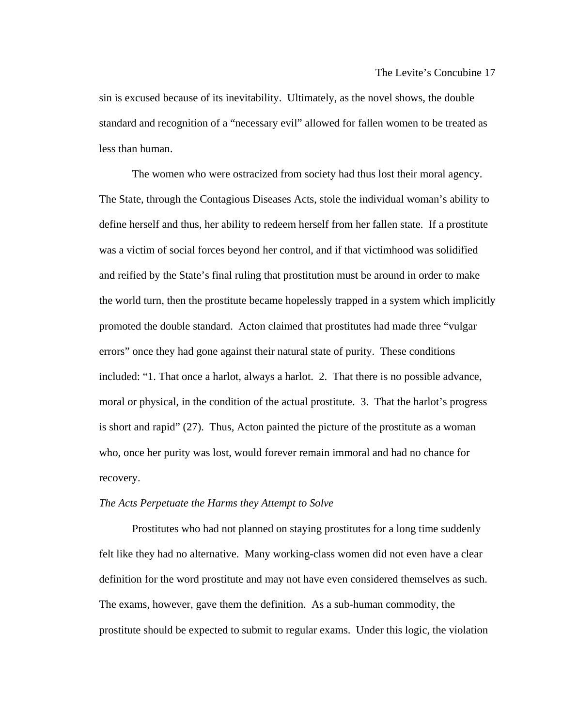sin is excused because of its inevitability. Ultimately, as the novel shows, the double standard and recognition of a "necessary evil" allowed for fallen women to be treated as less than human.

 The women who were ostracized from society had thus lost their moral agency. The State, through the Contagious Diseases Acts, stole the individual woman's ability to define herself and thus, her ability to redeem herself from her fallen state. If a prostitute was a victim of social forces beyond her control, and if that victimhood was solidified and reified by the State's final ruling that prostitution must be around in order to make the world turn, then the prostitute became hopelessly trapped in a system which implicitly promoted the double standard. Acton claimed that prostitutes had made three "vulgar errors" once they had gone against their natural state of purity. These conditions included: "1. That once a harlot, always a harlot. 2. That there is no possible advance, moral or physical, in the condition of the actual prostitute. 3. That the harlot's progress is short and rapid" (27). Thus, Acton painted the picture of the prostitute as a woman who, once her purity was lost, would forever remain immoral and had no chance for recovery.

#### *The Acts Perpetuate the Harms they Attempt to Solve*

 Prostitutes who had not planned on staying prostitutes for a long time suddenly felt like they had no alternative. Many working-class women did not even have a clear definition for the word prostitute and may not have even considered themselves as such. The exams, however, gave them the definition. As a sub-human commodity, the prostitute should be expected to submit to regular exams. Under this logic, the violation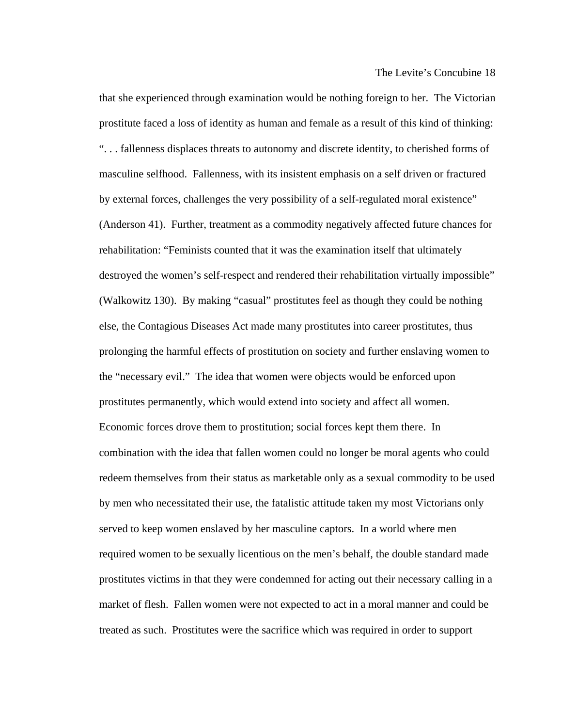that she experienced through examination would be nothing foreign to her. The Victorian prostitute faced a loss of identity as human and female as a result of this kind of thinking: ". . . fallenness displaces threats to autonomy and discrete identity, to cherished forms of masculine selfhood. Fallenness, with its insistent emphasis on a self driven or fractured by external forces, challenges the very possibility of a self-regulated moral existence" (Anderson 41). Further, treatment as a commodity negatively affected future chances for rehabilitation: "Feminists counted that it was the examination itself that ultimately destroyed the women's self-respect and rendered their rehabilitation virtually impossible" (Walkowitz 130). By making "casual" prostitutes feel as though they could be nothing else, the Contagious Diseases Act made many prostitutes into career prostitutes, thus prolonging the harmful effects of prostitution on society and further enslaving women to the "necessary evil." The idea that women were objects would be enforced upon prostitutes permanently, which would extend into society and affect all women. Economic forces drove them to prostitution; social forces kept them there. In combination with the idea that fallen women could no longer be moral agents who could redeem themselves from their status as marketable only as a sexual commodity to be used by men who necessitated their use, the fatalistic attitude taken my most Victorians only served to keep women enslaved by her masculine captors. In a world where men required women to be sexually licentious on the men's behalf, the double standard made prostitutes victims in that they were condemned for acting out their necessary calling in a market of flesh. Fallen women were not expected to act in a moral manner and could be treated as such. Prostitutes were the sacrifice which was required in order to support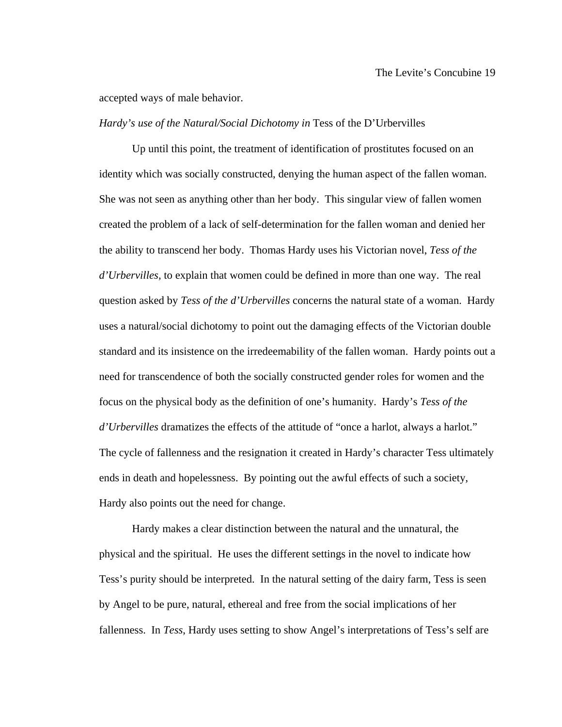accepted ways of male behavior.

#### *Hardy's use of the Natural/Social Dichotomy in Tess of the D'Urbervilles*

 Up until this point, the treatment of identification of prostitutes focused on an identity which was socially constructed, denying the human aspect of the fallen woman. She was not seen as anything other than her body. This singular view of fallen women created the problem of a lack of self-determination for the fallen woman and denied her the ability to transcend her body. Thomas Hardy uses his Victorian novel, *Tess of the d'Urbervilles,* to explain that women could be defined in more than one way. The real question asked by *Tess of the d'Urbervilles* concerns the natural state of a woman. Hardy uses a natural/social dichotomy to point out the damaging effects of the Victorian double standard and its insistence on the irredeemability of the fallen woman. Hardy points out a need for transcendence of both the socially constructed gender roles for women and the focus on the physical body as the definition of one's humanity. Hardy's *Tess of the d'Urbervilles* dramatizes the effects of the attitude of "once a harlot, always a harlot." The cycle of fallenness and the resignation it created in Hardy's character Tess ultimately ends in death and hopelessness. By pointing out the awful effects of such a society, Hardy also points out the need for change.

 Hardy makes a clear distinction between the natural and the unnatural, the physical and the spiritual. He uses the different settings in the novel to indicate how Tess's purity should be interpreted. In the natural setting of the dairy farm, Tess is seen by Angel to be pure, natural, ethereal and free from the social implications of her fallenness. In *Tess*, Hardy uses setting to show Angel's interpretations of Tess's self are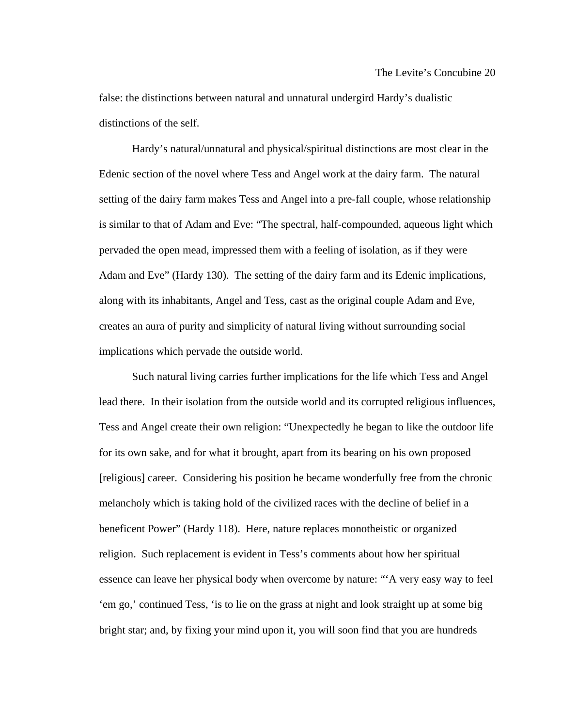false: the distinctions between natural and unnatural undergird Hardy's dualistic distinctions of the self.

 Hardy's natural/unnatural and physical/spiritual distinctions are most clear in the Edenic section of the novel where Tess and Angel work at the dairy farm. The natural setting of the dairy farm makes Tess and Angel into a pre-fall couple, whose relationship is similar to that of Adam and Eve: "The spectral, half-compounded, aqueous light which pervaded the open mead, impressed them with a feeling of isolation, as if they were Adam and Eve" (Hardy 130). The setting of the dairy farm and its Edenic implications, along with its inhabitants, Angel and Tess, cast as the original couple Adam and Eve, creates an aura of purity and simplicity of natural living without surrounding social implications which pervade the outside world.

 Such natural living carries further implications for the life which Tess and Angel lead there. In their isolation from the outside world and its corrupted religious influences, Tess and Angel create their own religion: "Unexpectedly he began to like the outdoor life for its own sake, and for what it brought, apart from its bearing on his own proposed [religious] career. Considering his position he became wonderfully free from the chronic melancholy which is taking hold of the civilized races with the decline of belief in a beneficent Power" (Hardy 118). Here, nature replaces monotheistic or organized religion. Such replacement is evident in Tess's comments about how her spiritual essence can leave her physical body when overcome by nature: "'A very easy way to feel 'em go,' continued Tess, 'is to lie on the grass at night and look straight up at some big bright star; and, by fixing your mind upon it, you will soon find that you are hundreds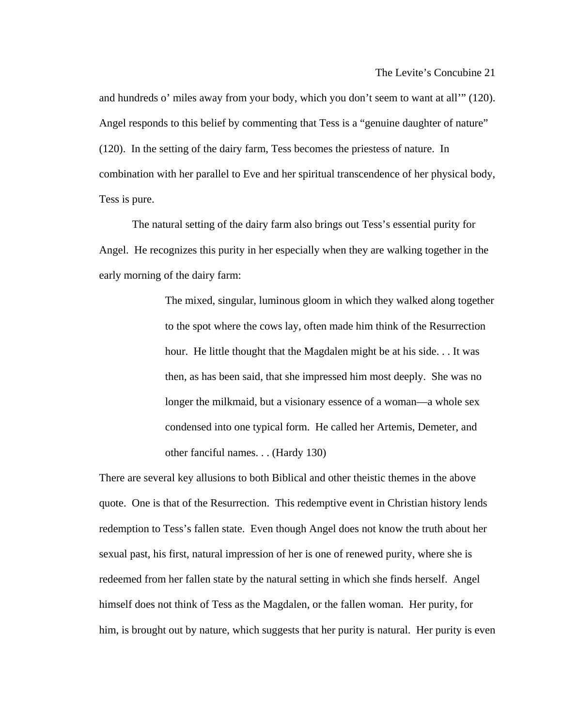and hundreds o' miles away from your body, which you don't seem to want at all'" (120). Angel responds to this belief by commenting that Tess is a "genuine daughter of nature" (120). In the setting of the dairy farm, Tess becomes the priestess of nature. In combination with her parallel to Eve and her spiritual transcendence of her physical body, Tess is pure.

 The natural setting of the dairy farm also brings out Tess's essential purity for Angel. He recognizes this purity in her especially when they are walking together in the early morning of the dairy farm:

> The mixed, singular, luminous gloom in which they walked along together to the spot where the cows lay, often made him think of the Resurrection hour. He little thought that the Magdalen might be at his side. . . It was then, as has been said, that she impressed him most deeply. She was no longer the milkmaid, but a visionary essence of a woman—a whole sex condensed into one typical form. He called her Artemis, Demeter, and other fanciful names. . . (Hardy 130)

There are several key allusions to both Biblical and other theistic themes in the above quote. One is that of the Resurrection. This redemptive event in Christian history lends redemption to Tess's fallen state. Even though Angel does not know the truth about her sexual past, his first, natural impression of her is one of renewed purity, where she is redeemed from her fallen state by the natural setting in which she finds herself. Angel himself does not think of Tess as the Magdalen, or the fallen woman. Her purity, for him, is brought out by nature, which suggests that her purity is natural. Her purity is even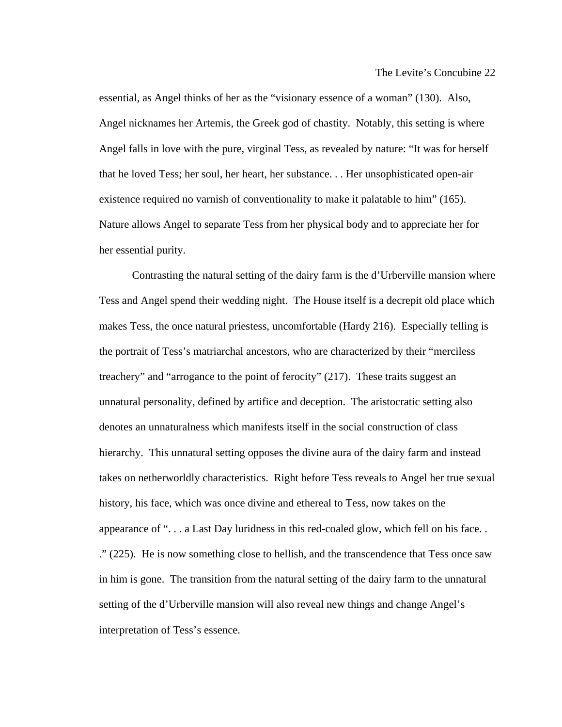essential, as Angel thinks of her as the "visionary essence of a woman" (130). Also, Angel nicknames her Artemis, the Greek god of chastity. Notably, this setting is where Angel falls in love with the pure, virginal Tess, as revealed by nature: "It was for herself that he loved Tess; her soul, her heart, her substance. . . Her unsophisticated open-air existence required no varnish of conventionality to make it palatable to him" (165). Nature allows Angel to separate Tess from her physical body and to appreciate her for her essential purity.

 Contrasting the natural setting of the dairy farm is the d'Urberville mansion where Tess and Angel spend their wedding night. The House itself is a decrepit old place which makes Tess, the once natural priestess, uncomfortable (Hardy 216). Especially telling is the portrait of Tess's matriarchal ancestors, who are characterized by their "merciless treachery" and "arrogance to the point of ferocity" (217). These traits suggest an unnatural personality, defined by artifice and deception. The aristocratic setting also denotes an unnaturalness which manifests itself in the social construction of class hierarchy. This unnatural setting opposes the divine aura of the dairy farm and instead takes on netherworldly characteristics. Right before Tess reveals to Angel her true sexual history, his face, which was once divine and ethereal to Tess, now takes on the appearance of ". . . a Last Day luridness in this red-coaled glow, which fell on his face. . ." (225). He is now something close to hellish, and the transcendence that Tess once saw in him is gone. The transition from the natural setting of the dairy farm to the unnatural setting of the d'Urberville mansion will also reveal new things and change Angel's interpretation of Tess's essence.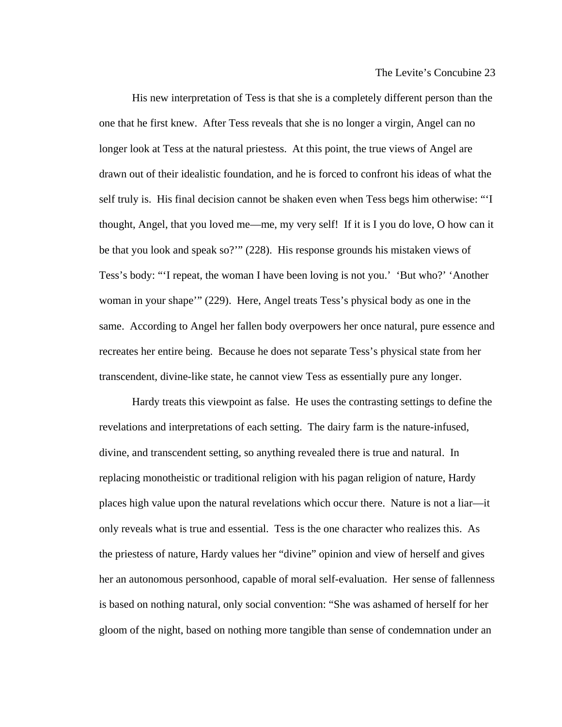His new interpretation of Tess is that she is a completely different person than the one that he first knew. After Tess reveals that she is no longer a virgin, Angel can no longer look at Tess at the natural priestess. At this point, the true views of Angel are drawn out of their idealistic foundation, and he is forced to confront his ideas of what the self truly is. His final decision cannot be shaken even when Tess begs him otherwise: "'I thought, Angel, that you loved me—me, my very self! If it is I you do love, O how can it be that you look and speak so?'" (228). His response grounds his mistaken views of Tess's body: "'I repeat, the woman I have been loving is not you.' 'But who?' 'Another woman in your shape'" (229). Here, Angel treats Tess's physical body as one in the same. According to Angel her fallen body overpowers her once natural, pure essence and recreates her entire being. Because he does not separate Tess's physical state from her transcendent, divine-like state, he cannot view Tess as essentially pure any longer.

 Hardy treats this viewpoint as false. He uses the contrasting settings to define the revelations and interpretations of each setting. The dairy farm is the nature-infused, divine, and transcendent setting, so anything revealed there is true and natural. In replacing monotheistic or traditional religion with his pagan religion of nature, Hardy places high value upon the natural revelations which occur there. Nature is not a liar—it only reveals what is true and essential. Tess is the one character who realizes this. As the priestess of nature, Hardy values her "divine" opinion and view of herself and gives her an autonomous personhood, capable of moral self-evaluation. Her sense of fallenness is based on nothing natural, only social convention: "She was ashamed of herself for her gloom of the night, based on nothing more tangible than sense of condemnation under an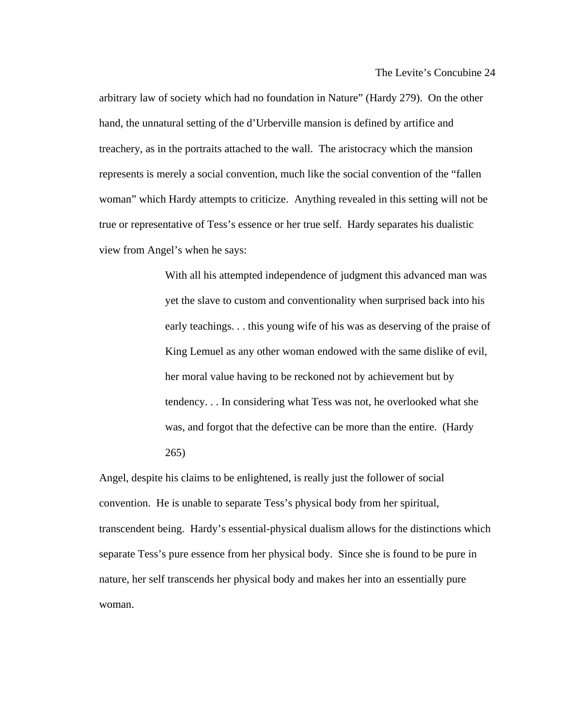arbitrary law of society which had no foundation in Nature" (Hardy 279). On the other hand, the unnatural setting of the d'Urberville mansion is defined by artifice and treachery, as in the portraits attached to the wall. The aristocracy which the mansion represents is merely a social convention, much like the social convention of the "fallen woman" which Hardy attempts to criticize. Anything revealed in this setting will not be true or representative of Tess's essence or her true self. Hardy separates his dualistic view from Angel's when he says:

> With all his attempted independence of judgment this advanced man was yet the slave to custom and conventionality when surprised back into his early teachings. . . this young wife of his was as deserving of the praise of King Lemuel as any other woman endowed with the same dislike of evil, her moral value having to be reckoned not by achievement but by tendency. . . In considering what Tess was not, he overlooked what she was, and forgot that the defective can be more than the entire. (Hardy 265)

Angel, despite his claims to be enlightened, is really just the follower of social convention. He is unable to separate Tess's physical body from her spiritual, transcendent being. Hardy's essential-physical dualism allows for the distinctions which separate Tess's pure essence from her physical body. Since she is found to be pure in nature, her self transcends her physical body and makes her into an essentially pure woman.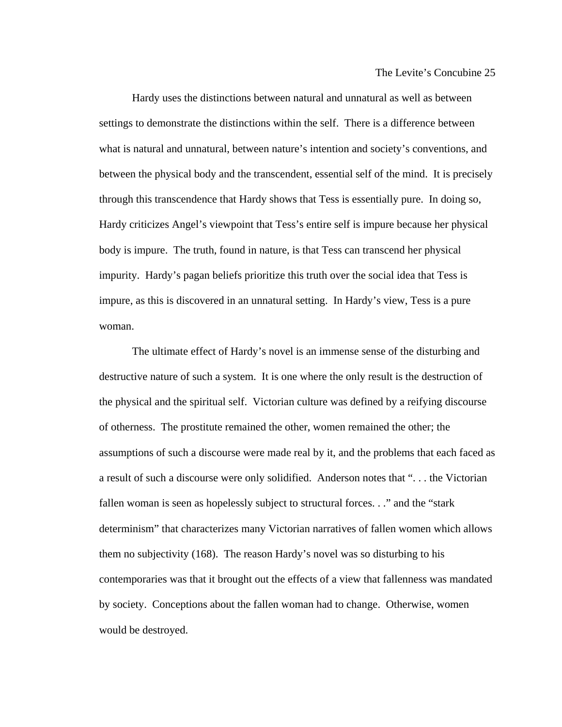Hardy uses the distinctions between natural and unnatural as well as between settings to demonstrate the distinctions within the self. There is a difference between what is natural and unnatural, between nature's intention and society's conventions, and between the physical body and the transcendent, essential self of the mind. It is precisely through this transcendence that Hardy shows that Tess is essentially pure. In doing so, Hardy criticizes Angel's viewpoint that Tess's entire self is impure because her physical body is impure. The truth, found in nature, is that Tess can transcend her physical impurity. Hardy's pagan beliefs prioritize this truth over the social idea that Tess is impure, as this is discovered in an unnatural setting. In Hardy's view, Tess is a pure woman.

 The ultimate effect of Hardy's novel is an immense sense of the disturbing and destructive nature of such a system. It is one where the only result is the destruction of the physical and the spiritual self. Victorian culture was defined by a reifying discourse of otherness. The prostitute remained the other, women remained the other; the assumptions of such a discourse were made real by it, and the problems that each faced as a result of such a discourse were only solidified. Anderson notes that ". . . the Victorian fallen woman is seen as hopelessly subject to structural forces. . ." and the "stark determinism" that characterizes many Victorian narratives of fallen women which allows them no subjectivity (168). The reason Hardy's novel was so disturbing to his contemporaries was that it brought out the effects of a view that fallenness was mandated by society. Conceptions about the fallen woman had to change. Otherwise, women would be destroyed.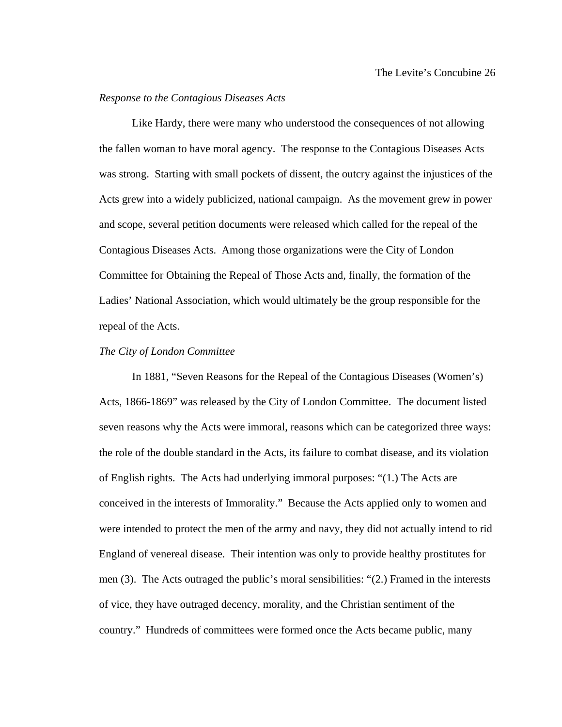### *Response to the Contagious Diseases Acts*

 Like Hardy, there were many who understood the consequences of not allowing the fallen woman to have moral agency. The response to the Contagious Diseases Acts was strong. Starting with small pockets of dissent, the outcry against the injustices of the Acts grew into a widely publicized, national campaign. As the movement grew in power and scope, several petition documents were released which called for the repeal of the Contagious Diseases Acts. Among those organizations were the City of London Committee for Obtaining the Repeal of Those Acts and, finally, the formation of the Ladies' National Association, which would ultimately be the group responsible for the repeal of the Acts.

#### *The City of London Committee*

 In 1881, "Seven Reasons for the Repeal of the Contagious Diseases (Women's) Acts, 1866-1869" was released by the City of London Committee. The document listed seven reasons why the Acts were immoral, reasons which can be categorized three ways: the role of the double standard in the Acts, its failure to combat disease, and its violation of English rights. The Acts had underlying immoral purposes: "(1.) The Acts are conceived in the interests of Immorality." Because the Acts applied only to women and were intended to protect the men of the army and navy, they did not actually intend to rid England of venereal disease. Their intention was only to provide healthy prostitutes for men (3). The Acts outraged the public's moral sensibilities: "(2.) Framed in the interests of vice, they have outraged decency, morality, and the Christian sentiment of the country." Hundreds of committees were formed once the Acts became public, many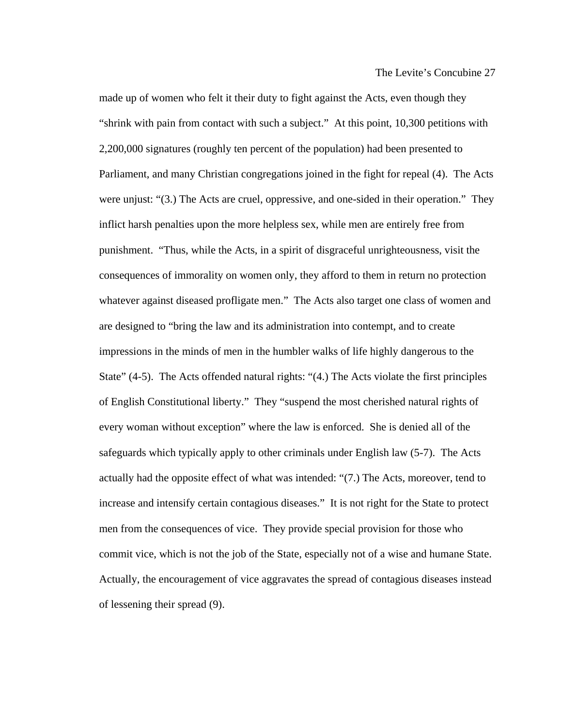made up of women who felt it their duty to fight against the Acts, even though they "shrink with pain from contact with such a subject." At this point, 10,300 petitions with 2,200,000 signatures (roughly ten percent of the population) had been presented to Parliament, and many Christian congregations joined in the fight for repeal (4). The Acts were unjust: "(3.) The Acts are cruel, oppressive, and one-sided in their operation." They inflict harsh penalties upon the more helpless sex, while men are entirely free from punishment. "Thus, while the Acts, in a spirit of disgraceful unrighteousness, visit the consequences of immorality on women only, they afford to them in return no protection whatever against diseased profligate men." The Acts also target one class of women and are designed to "bring the law and its administration into contempt, and to create impressions in the minds of men in the humbler walks of life highly dangerous to the State" (4-5). The Acts offended natural rights: "(4.) The Acts violate the first principles of English Constitutional liberty." They "suspend the most cherished natural rights of every woman without exception" where the law is enforced. She is denied all of the safeguards which typically apply to other criminals under English law (5-7). The Acts actually had the opposite effect of what was intended: "(7.) The Acts, moreover, tend to increase and intensify certain contagious diseases." It is not right for the State to protect men from the consequences of vice. They provide special provision for those who commit vice, which is not the job of the State, especially not of a wise and humane State. Actually, the encouragement of vice aggravates the spread of contagious diseases instead of lessening their spread (9).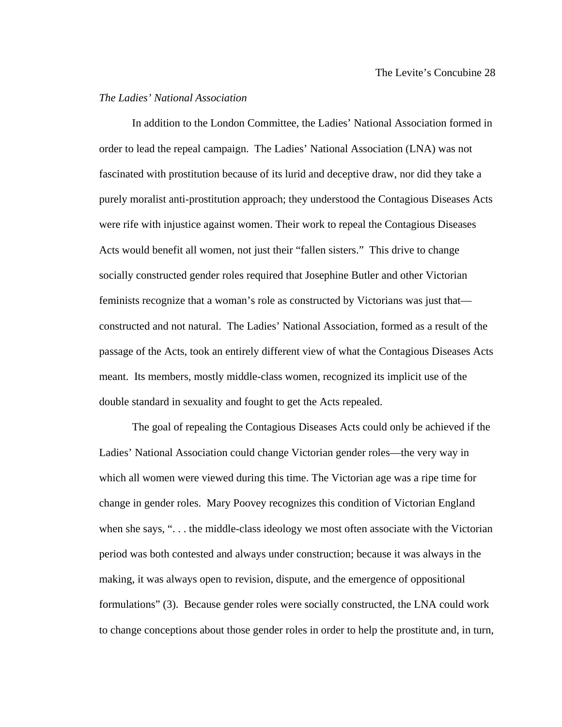## *The Ladies' National Association*

 In addition to the London Committee, the Ladies' National Association formed in order to lead the repeal campaign. The Ladies' National Association (LNA) was not fascinated with prostitution because of its lurid and deceptive draw, nor did they take a purely moralist anti-prostitution approach; they understood the Contagious Diseases Acts were rife with injustice against women. Their work to repeal the Contagious Diseases Acts would benefit all women, not just their "fallen sisters." This drive to change socially constructed gender roles required that Josephine Butler and other Victorian feminists recognize that a woman's role as constructed by Victorians was just that constructed and not natural. The Ladies' National Association, formed as a result of the passage of the Acts, took an entirely different view of what the Contagious Diseases Acts meant. Its members, mostly middle-class women, recognized its implicit use of the double standard in sexuality and fought to get the Acts repealed.

 The goal of repealing the Contagious Diseases Acts could only be achieved if the Ladies' National Association could change Victorian gender roles—the very way in which all women were viewed during this time. The Victorian age was a ripe time for change in gender roles. Mary Poovey recognizes this condition of Victorian England when she says, " $\dots$  the middle-class ideology we most often associate with the Victorian period was both contested and always under construction; because it was always in the making, it was always open to revision, dispute, and the emergence of oppositional formulations" (3). Because gender roles were socially constructed, the LNA could work to change conceptions about those gender roles in order to help the prostitute and, in turn,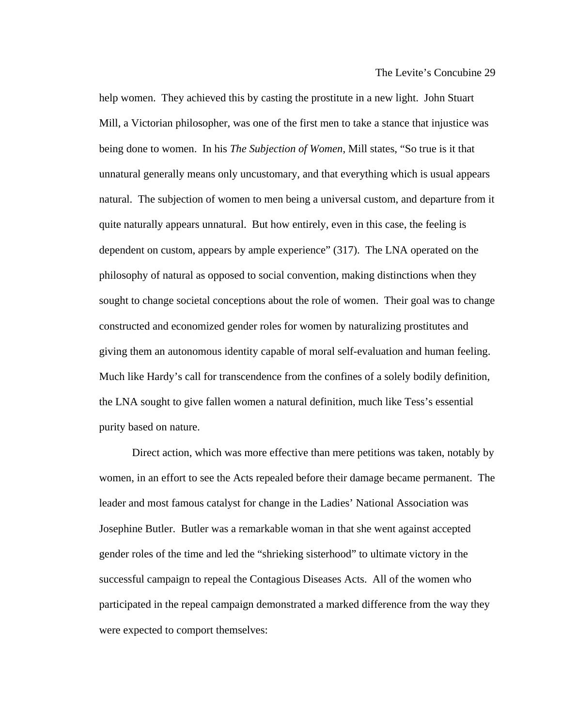help women. They achieved this by casting the prostitute in a new light. John Stuart Mill, a Victorian philosopher, was one of the first men to take a stance that injustice was being done to women. In his *The Subjection of Women*, Mill states, "So true is it that unnatural generally means only uncustomary, and that everything which is usual appears natural. The subjection of women to men being a universal custom, and departure from it quite naturally appears unnatural. But how entirely, even in this case, the feeling is dependent on custom, appears by ample experience" (317). The LNA operated on the philosophy of natural as opposed to social convention, making distinctions when they sought to change societal conceptions about the role of women. Their goal was to change constructed and economized gender roles for women by naturalizing prostitutes and giving them an autonomous identity capable of moral self-evaluation and human feeling. Much like Hardy's call for transcendence from the confines of a solely bodily definition, the LNA sought to give fallen women a natural definition, much like Tess's essential purity based on nature.

 Direct action, which was more effective than mere petitions was taken, notably by women, in an effort to see the Acts repealed before their damage became permanent. The leader and most famous catalyst for change in the Ladies' National Association was Josephine Butler. Butler was a remarkable woman in that she went against accepted gender roles of the time and led the "shrieking sisterhood" to ultimate victory in the successful campaign to repeal the Contagious Diseases Acts. All of the women who participated in the repeal campaign demonstrated a marked difference from the way they were expected to comport themselves: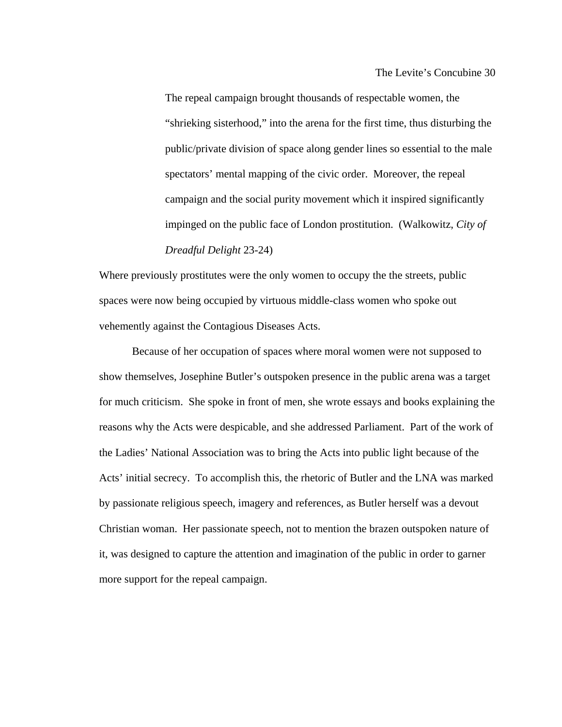The Levite's Concubine 30

The repeal campaign brought thousands of respectable women, the "shrieking sisterhood," into the arena for the first time, thus disturbing the public/private division of space along gender lines so essential to the male spectators' mental mapping of the civic order. Moreover, the repeal campaign and the social purity movement which it inspired significantly impinged on the public face of London prostitution. (Walkowitz, *City of Dreadful Delight* 23-24)

Where previously prostitutes were the only women to occupy the the streets, public spaces were now being occupied by virtuous middle-class women who spoke out vehemently against the Contagious Diseases Acts.

 Because of her occupation of spaces where moral women were not supposed to show themselves, Josephine Butler's outspoken presence in the public arena was a target for much criticism. She spoke in front of men, she wrote essays and books explaining the reasons why the Acts were despicable, and she addressed Parliament. Part of the work of the Ladies' National Association was to bring the Acts into public light because of the Acts' initial secrecy. To accomplish this, the rhetoric of Butler and the LNA was marked by passionate religious speech, imagery and references, as Butler herself was a devout Christian woman. Her passionate speech, not to mention the brazen outspoken nature of it, was designed to capture the attention and imagination of the public in order to garner more support for the repeal campaign.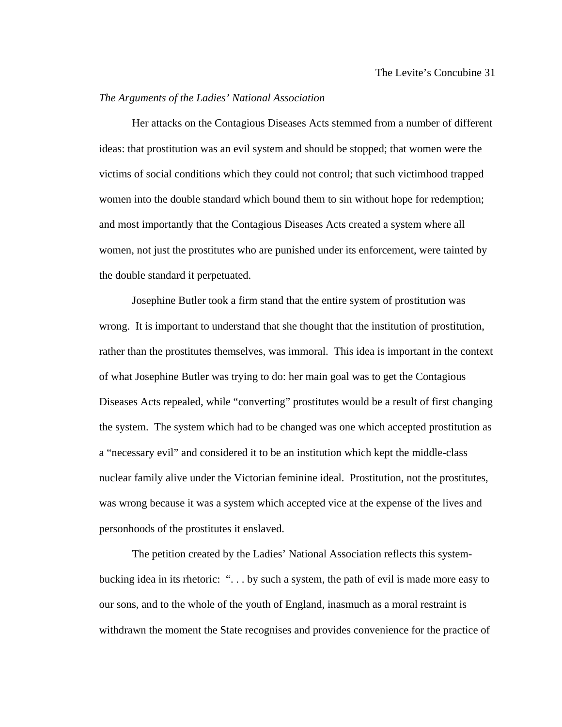## *The Arguments of the Ladies' National Association*

 Her attacks on the Contagious Diseases Acts stemmed from a number of different ideas: that prostitution was an evil system and should be stopped; that women were the victims of social conditions which they could not control; that such victimhood trapped women into the double standard which bound them to sin without hope for redemption; and most importantly that the Contagious Diseases Acts created a system where all women, not just the prostitutes who are punished under its enforcement, were tainted by the double standard it perpetuated.

 Josephine Butler took a firm stand that the entire system of prostitution was wrong. It is important to understand that she thought that the institution of prostitution, rather than the prostitutes themselves, was immoral. This idea is important in the context of what Josephine Butler was trying to do: her main goal was to get the Contagious Diseases Acts repealed, while "converting" prostitutes would be a result of first changing the system. The system which had to be changed was one which accepted prostitution as a "necessary evil" and considered it to be an institution which kept the middle-class nuclear family alive under the Victorian feminine ideal. Prostitution, not the prostitutes, was wrong because it was a system which accepted vice at the expense of the lives and personhoods of the prostitutes it enslaved.

 The petition created by the Ladies' National Association reflects this systembucking idea in its rhetoric: ". . . by such a system, the path of evil is made more easy to our sons, and to the whole of the youth of England, inasmuch as a moral restraint is withdrawn the moment the State recognises and provides convenience for the practice of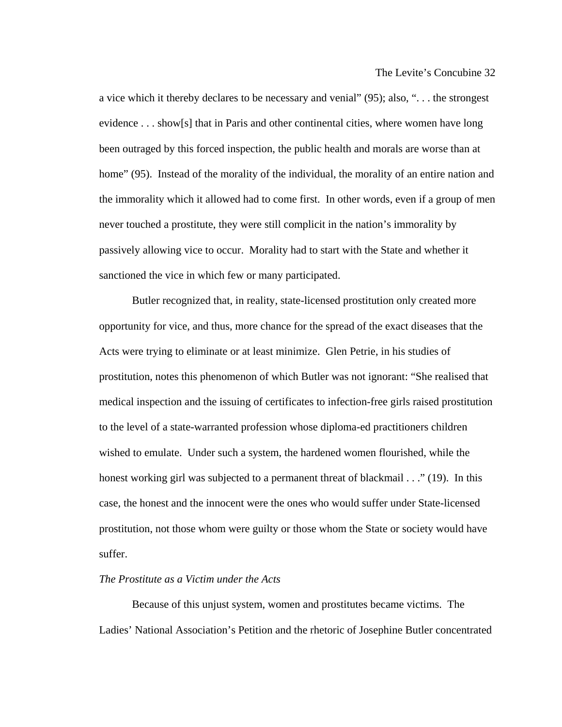a vice which it thereby declares to be necessary and venial" (95); also, ". . . the strongest evidence . . . show[s] that in Paris and other continental cities, where women have long been outraged by this forced inspection, the public health and morals are worse than at home" (95). Instead of the morality of the individual, the morality of an entire nation and the immorality which it allowed had to come first. In other words, even if a group of men never touched a prostitute, they were still complicit in the nation's immorality by passively allowing vice to occur. Morality had to start with the State and whether it sanctioned the vice in which few or many participated.

 Butler recognized that, in reality, state-licensed prostitution only created more opportunity for vice, and thus, more chance for the spread of the exact diseases that the Acts were trying to eliminate or at least minimize. Glen Petrie, in his studies of prostitution, notes this phenomenon of which Butler was not ignorant: "She realised that medical inspection and the issuing of certificates to infection-free girls raised prostitution to the level of a state-warranted profession whose diploma-ed practitioners children wished to emulate. Under such a system, the hardened women flourished, while the honest working girl was subjected to a permanent threat of blackmail . . ." (19). In this case, the honest and the innocent were the ones who would suffer under State-licensed prostitution, not those whom were guilty or those whom the State or society would have suffer.

### *The Prostitute as a Victim under the Acts*

 Because of this unjust system, women and prostitutes became victims. The Ladies' National Association's Petition and the rhetoric of Josephine Butler concentrated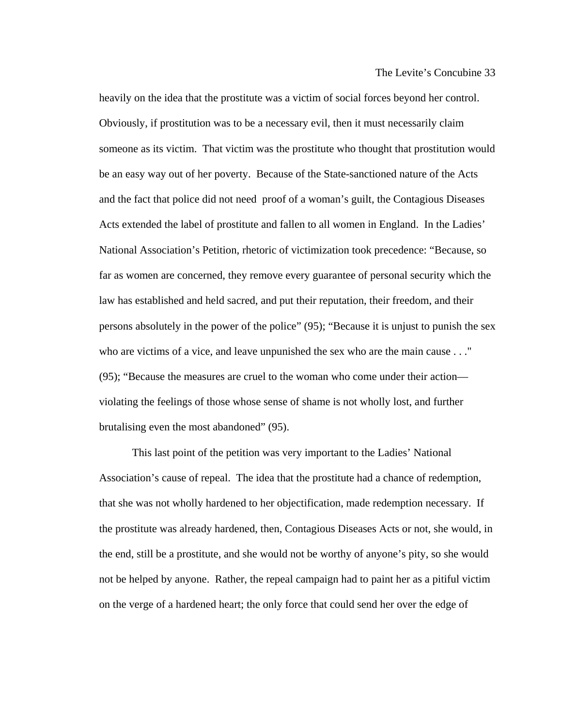heavily on the idea that the prostitute was a victim of social forces beyond her control. Obviously, if prostitution was to be a necessary evil, then it must necessarily claim someone as its victim. That victim was the prostitute who thought that prostitution would be an easy way out of her poverty. Because of the State-sanctioned nature of the Acts and the fact that police did not need proof of a woman's guilt, the Contagious Diseases Acts extended the label of prostitute and fallen to all women in England. In the Ladies' National Association's Petition, rhetoric of victimization took precedence: "Because, so far as women are concerned, they remove every guarantee of personal security which the law has established and held sacred, and put their reputation, their freedom, and their persons absolutely in the power of the police" (95); "Because it is unjust to punish the sex who are victims of a vice, and leave unpunished the sex who are the main cause . . ." (95); "Because the measures are cruel to the woman who come under their action violating the feelings of those whose sense of shame is not wholly lost, and further brutalising even the most abandoned" (95).

 This last point of the petition was very important to the Ladies' National Association's cause of repeal. The idea that the prostitute had a chance of redemption, that she was not wholly hardened to her objectification, made redemption necessary. If the prostitute was already hardened, then, Contagious Diseases Acts or not, she would, in the end, still be a prostitute, and she would not be worthy of anyone's pity, so she would not be helped by anyone. Rather, the repeal campaign had to paint her as a pitiful victim on the verge of a hardened heart; the only force that could send her over the edge of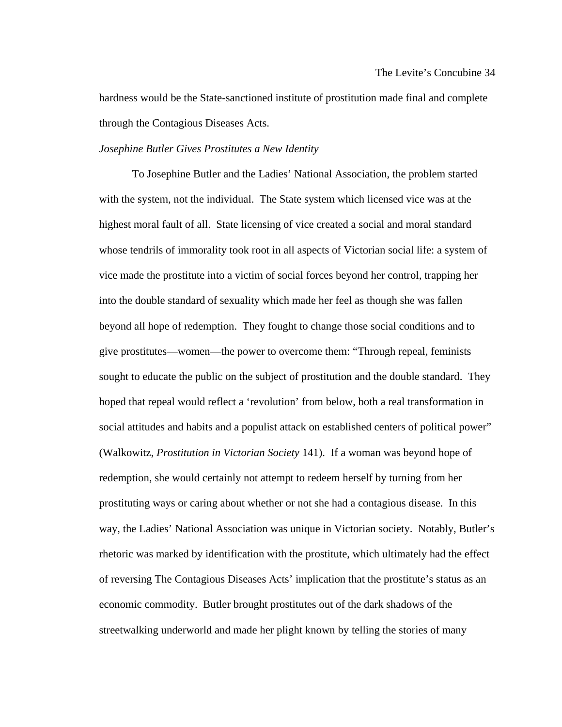hardness would be the State-sanctioned institute of prostitution made final and complete through the Contagious Diseases Acts.

## *Josephine Butler Gives Prostitutes a New Identity*

 To Josephine Butler and the Ladies' National Association, the problem started with the system, not the individual. The State system which licensed vice was at the highest moral fault of all. State licensing of vice created a social and moral standard whose tendrils of immorality took root in all aspects of Victorian social life: a system of vice made the prostitute into a victim of social forces beyond her control, trapping her into the double standard of sexuality which made her feel as though she was fallen beyond all hope of redemption. They fought to change those social conditions and to give prostitutes—women—the power to overcome them: "Through repeal, feminists sought to educate the public on the subject of prostitution and the double standard. They hoped that repeal would reflect a 'revolution' from below, both a real transformation in social attitudes and habits and a populist attack on established centers of political power" (Walkowitz, *Prostitution in Victorian Society* 141). If a woman was beyond hope of redemption, she would certainly not attempt to redeem herself by turning from her prostituting ways or caring about whether or not she had a contagious disease. In this way, the Ladies' National Association was unique in Victorian society. Notably, Butler's rhetoric was marked by identification with the prostitute, which ultimately had the effect of reversing The Contagious Diseases Acts' implication that the prostitute's status as an economic commodity. Butler brought prostitutes out of the dark shadows of the streetwalking underworld and made her plight known by telling the stories of many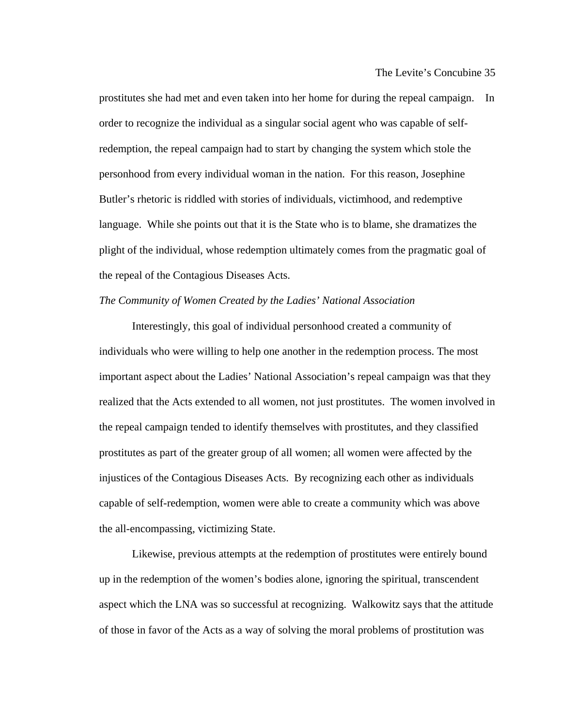prostitutes she had met and even taken into her home for during the repeal campaign. In order to recognize the individual as a singular social agent who was capable of selfredemption, the repeal campaign had to start by changing the system which stole the personhood from every individual woman in the nation. For this reason, Josephine Butler's rhetoric is riddled with stories of individuals, victimhood, and redemptive language. While she points out that it is the State who is to blame, she dramatizes the plight of the individual, whose redemption ultimately comes from the pragmatic goal of the repeal of the Contagious Diseases Acts.

### *The Community of Women Created by the Ladies' National Association*

 Interestingly, this goal of individual personhood created a community of individuals who were willing to help one another in the redemption process. The most important aspect about the Ladies' National Association's repeal campaign was that they realized that the Acts extended to all women, not just prostitutes. The women involved in the repeal campaign tended to identify themselves with prostitutes, and they classified prostitutes as part of the greater group of all women; all women were affected by the injustices of the Contagious Diseases Acts. By recognizing each other as individuals capable of self-redemption, women were able to create a community which was above the all-encompassing, victimizing State.

 Likewise, previous attempts at the redemption of prostitutes were entirely bound up in the redemption of the women's bodies alone, ignoring the spiritual, transcendent aspect which the LNA was so successful at recognizing. Walkowitz says that the attitude of those in favor of the Acts as a way of solving the moral problems of prostitution was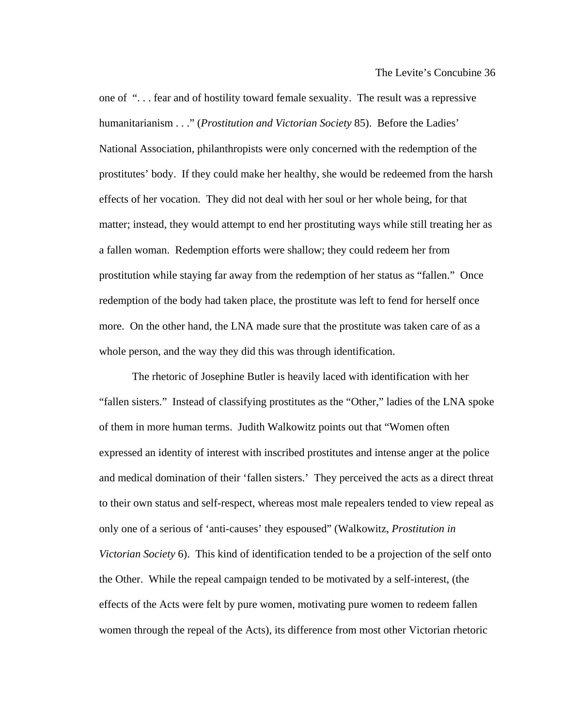one of ". . . fear and of hostility toward female sexuality. The result was a repressive humanitarianism . . ." (*Prostitution and Victorian Society* 85). Before the Ladies' National Association, philanthropists were only concerned with the redemption of the prostitutes' body. If they could make her healthy, she would be redeemed from the harsh effects of her vocation. They did not deal with her soul or her whole being, for that matter; instead, they would attempt to end her prostituting ways while still treating her as a fallen woman. Redemption efforts were shallow; they could redeem her from prostitution while staying far away from the redemption of her status as "fallen." Once redemption of the body had taken place, the prostitute was left to fend for herself once more. On the other hand, the LNA made sure that the prostitute was taken care of as a whole person, and the way they did this was through identification.

 The rhetoric of Josephine Butler is heavily laced with identification with her "fallen sisters." Instead of classifying prostitutes as the "Other," ladies of the LNA spoke of them in more human terms. Judith Walkowitz points out that "Women often expressed an identity of interest with inscribed prostitutes and intense anger at the police and medical domination of their 'fallen sisters.' They perceived the acts as a direct threat to their own status and self-respect, whereas most male repealers tended to view repeal as only one of a serious of 'anti-causes' they espoused" (Walkowitz, *Prostitution in Victorian Society* 6). This kind of identification tended to be a projection of the self onto the Other. While the repeal campaign tended to be motivated by a self-interest, (the effects of the Acts were felt by pure women, motivating pure women to redeem fallen women through the repeal of the Acts), its difference from most other Victorian rhetoric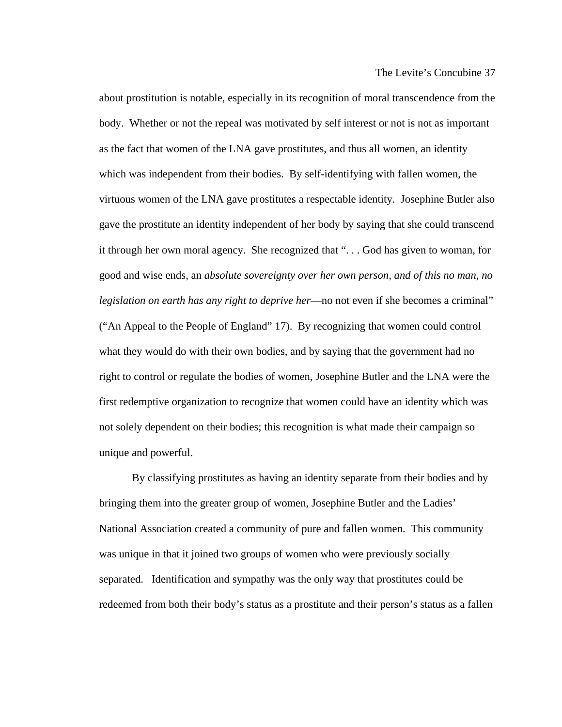about prostitution is notable, especially in its recognition of moral transcendence from the body. Whether or not the repeal was motivated by self interest or not is not as important as the fact that women of the LNA gave prostitutes, and thus all women, an identity which was independent from their bodies. By self-identifying with fallen women, the virtuous women of the LNA gave prostitutes a respectable identity. Josephine Butler also gave the prostitute an identity independent of her body by saying that she could transcend it through her own moral agency. She recognized that ". . . God has given to woman, for good and wise ends, an *absolute sovereignty over her own person, and of this no man, no legislation on earth has any right to deprive her*—no not even if she becomes a criminal" ("An Appeal to the People of England" 17). By recognizing that women could control what they would do with their own bodies, and by saying that the government had no right to control or regulate the bodies of women, Josephine Butler and the LNA were the first redemptive organization to recognize that women could have an identity which was not solely dependent on their bodies; this recognition is what made their campaign so unique and powerful.

 By classifying prostitutes as having an identity separate from their bodies and by bringing them into the greater group of women, Josephine Butler and the Ladies' National Association created a community of pure and fallen women. This community was unique in that it joined two groups of women who were previously socially separated. Identification and sympathy was the only way that prostitutes could be redeemed from both their body's status as a prostitute and their person's status as a fallen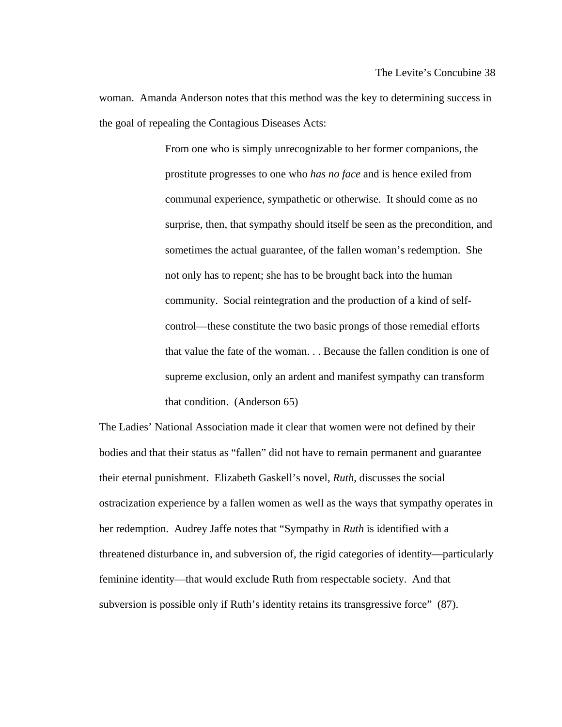woman. Amanda Anderson notes that this method was the key to determining success in the goal of repealing the Contagious Diseases Acts:

> From one who is simply unrecognizable to her former companions, the prostitute progresses to one who *has no face* and is hence exiled from communal experience, sympathetic or otherwise. It should come as no surprise, then, that sympathy should itself be seen as the precondition, and sometimes the actual guarantee, of the fallen woman's redemption. She not only has to repent; she has to be brought back into the human community. Social reintegration and the production of a kind of selfcontrol—these constitute the two basic prongs of those remedial efforts that value the fate of the woman. . . Because the fallen condition is one of supreme exclusion, only an ardent and manifest sympathy can transform that condition. (Anderson 65)

The Ladies' National Association made it clear that women were not defined by their bodies and that their status as "fallen" did not have to remain permanent and guarantee their eternal punishment. Elizabeth Gaskell's novel, *Ruth*, discusses the social ostracization experience by a fallen women as well as the ways that sympathy operates in her redemption. Audrey Jaffe notes that "Sympathy in *Ruth* is identified with a threatened disturbance in, and subversion of, the rigid categories of identity—particularly feminine identity—that would exclude Ruth from respectable society. And that subversion is possible only if Ruth's identity retains its transgressive force" (87).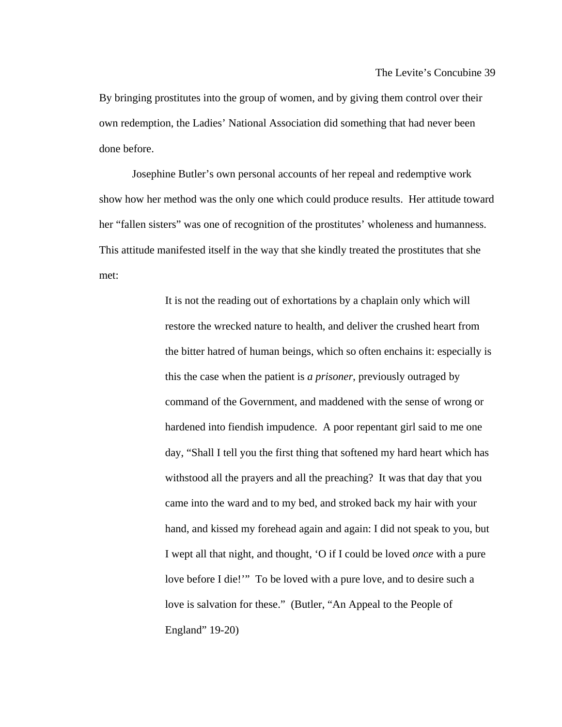By bringing prostitutes into the group of women, and by giving them control over their own redemption, the Ladies' National Association did something that had never been done before.

 Josephine Butler's own personal accounts of her repeal and redemptive work show how her method was the only one which could produce results. Her attitude toward her "fallen sisters" was one of recognition of the prostitutes' wholeness and humanness. This attitude manifested itself in the way that she kindly treated the prostitutes that she met:

> It is not the reading out of exhortations by a chaplain only which will restore the wrecked nature to health, and deliver the crushed heart from the bitter hatred of human beings, which so often enchains it: especially is this the case when the patient is *a prisoner*, previously outraged by command of the Government, and maddened with the sense of wrong or hardened into fiendish impudence. A poor repentant girl said to me one day, "Shall I tell you the first thing that softened my hard heart which has withstood all the prayers and all the preaching? It was that day that you came into the ward and to my bed, and stroked back my hair with your hand, and kissed my forehead again and again: I did not speak to you, but I wept all that night, and thought, 'O if I could be loved *once* with a pure love before I die!'" To be loved with a pure love, and to desire such a love is salvation for these." (Butler, "An Appeal to the People of England" 19-20)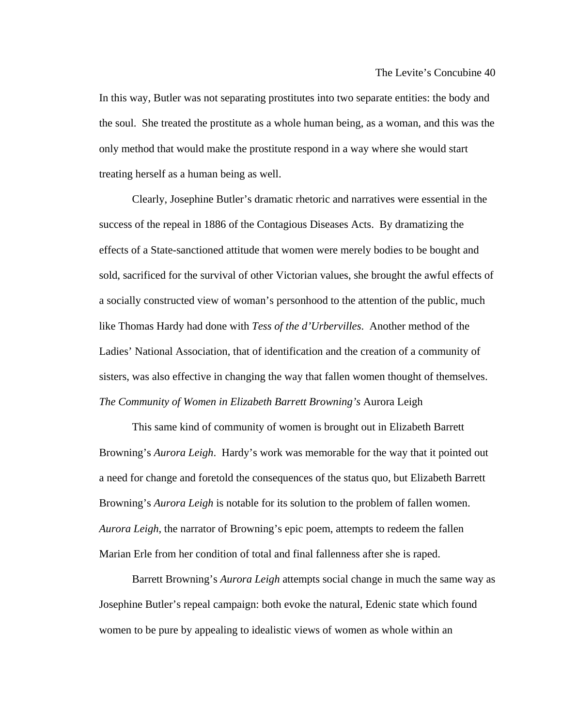In this way, Butler was not separating prostitutes into two separate entities: the body and the soul. She treated the prostitute as a whole human being, as a woman, and this was the only method that would make the prostitute respond in a way where she would start treating herself as a human being as well.

 Clearly, Josephine Butler's dramatic rhetoric and narratives were essential in the success of the repeal in 1886 of the Contagious Diseases Acts. By dramatizing the effects of a State-sanctioned attitude that women were merely bodies to be bought and sold, sacrificed for the survival of other Victorian values, she brought the awful effects of a socially constructed view of woman's personhood to the attention of the public, much like Thomas Hardy had done with *Tess of the d'Urbervilles*. Another method of the Ladies' National Association, that of identification and the creation of a community of sisters, was also effective in changing the way that fallen women thought of themselves. *The Community of Women in Elizabeth Barrett Browning's* Aurora Leigh

 This same kind of community of women is brought out in Elizabeth Barrett Browning's *Aurora Leigh*. Hardy's work was memorable for the way that it pointed out a need for change and foretold the consequences of the status quo, but Elizabeth Barrett Browning's *Aurora Leigh* is notable for its solution to the problem of fallen women. *Aurora Leigh*, the narrator of Browning's epic poem, attempts to redeem the fallen Marian Erle from her condition of total and final fallenness after she is raped.

 Barrett Browning's *Aurora Leigh* attempts social change in much the same way as Josephine Butler's repeal campaign: both evoke the natural, Edenic state which found women to be pure by appealing to idealistic views of women as whole within an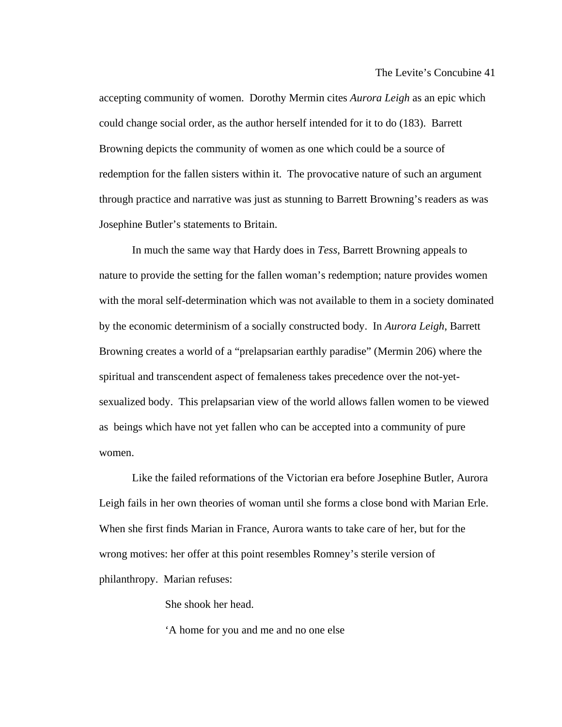accepting community of women. Dorothy Mermin cites *Aurora Leigh* as an epic which could change social order, as the author herself intended for it to do (183). Barrett Browning depicts the community of women as one which could be a source of redemption for the fallen sisters within it. The provocative nature of such an argument through practice and narrative was just as stunning to Barrett Browning's readers as was Josephine Butler's statements to Britain.

 In much the same way that Hardy does in *Tess*, Barrett Browning appeals to nature to provide the setting for the fallen woman's redemption; nature provides women with the moral self-determination which was not available to them in a society dominated by the economic determinism of a socially constructed body. In *Aurora Leigh*, Barrett Browning creates a world of a "prelapsarian earthly paradise" (Mermin 206) where the spiritual and transcendent aspect of femaleness takes precedence over the not-yetsexualized body. This prelapsarian view of the world allows fallen women to be viewed as beings which have not yet fallen who can be accepted into a community of pure women.

 Like the failed reformations of the Victorian era before Josephine Butler, Aurora Leigh fails in her own theories of woman until she forms a close bond with Marian Erle. When she first finds Marian in France, Aurora wants to take care of her, but for the wrong motives: her offer at this point resembles Romney's sterile version of philanthropy. Marian refuses:

She shook her head.

'A home for you and me and no one else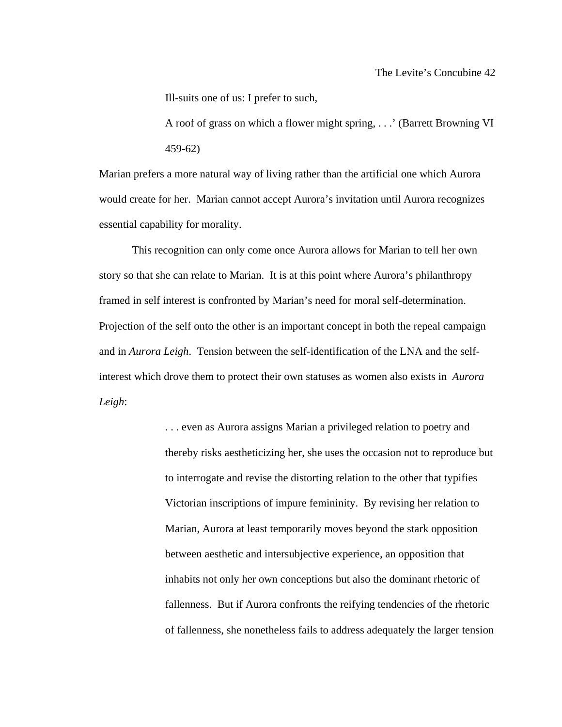Ill-suits one of us: I prefer to such,

A roof of grass on which a flower might spring, . . .' (Barrett Browning VI 459-62)

Marian prefers a more natural way of living rather than the artificial one which Aurora would create for her. Marian cannot accept Aurora's invitation until Aurora recognizes essential capability for morality.

 This recognition can only come once Aurora allows for Marian to tell her own story so that she can relate to Marian. It is at this point where Aurora's philanthropy framed in self interest is confronted by Marian's need for moral self-determination. Projection of the self onto the other is an important concept in both the repeal campaign and in *Aurora Leigh*. Tension between the self-identification of the LNA and the selfinterest which drove them to protect their own statuses as women also exists in *Aurora Leigh*:

> . . . even as Aurora assigns Marian a privileged relation to poetry and thereby risks aestheticizing her, she uses the occasion not to reproduce but to interrogate and revise the distorting relation to the other that typifies Victorian inscriptions of impure femininity. By revising her relation to Marian, Aurora at least temporarily moves beyond the stark opposition between aesthetic and intersubjective experience, an opposition that inhabits not only her own conceptions but also the dominant rhetoric of fallenness. But if Aurora confronts the reifying tendencies of the rhetoric of fallenness, she nonetheless fails to address adequately the larger tension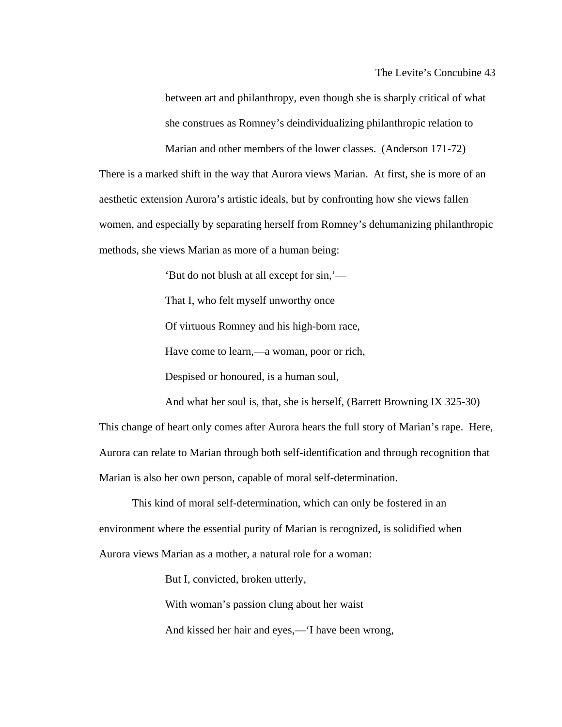between art and philanthropy, even though she is sharply critical of what she construes as Romney's deindividualizing philanthropic relation to

Marian and other members of the lower classes. (Anderson 171-72) There is a marked shift in the way that Aurora views Marian. At first, she is more of an aesthetic extension Aurora's artistic ideals, but by confronting how she views fallen women, and especially by separating herself from Romney's dehumanizing philanthropic methods, she views Marian as more of a human being:

'But do not blush at all except for sin,'—

That I, who felt myself unworthy once

Of virtuous Romney and his high-born race,

Have come to learn,—a woman, poor or rich,

Despised or honoured, is a human soul,

And what her soul is, that, she is herself, (Barrett Browning IX 325-30) This change of heart only comes after Aurora hears the full story of Marian's rape. Here, Aurora can relate to Marian through both self-identification and through recognition that Marian is also her own person, capable of moral self-determination.

 This kind of moral self-determination, which can only be fostered in an environment where the essential purity of Marian is recognized, is solidified when Aurora views Marian as a mother, a natural role for a woman:

But I, convicted, broken utterly,

With woman's passion clung about her waist

And kissed her hair and eyes,—'I have been wrong,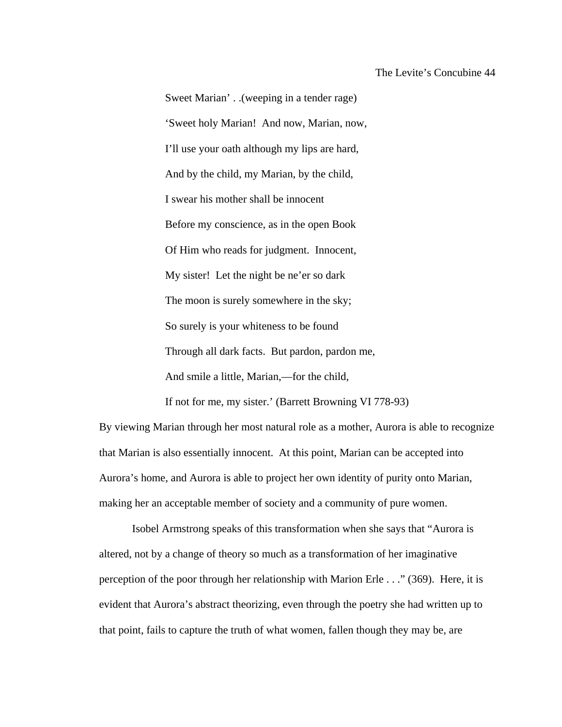Sweet Marian' . .(weeping in a tender rage) 'Sweet holy Marian! And now, Marian, now, I'll use your oath although my lips are hard, And by the child, my Marian, by the child, I swear his mother shall be innocent Before my conscience, as in the open Book Of Him who reads for judgment. Innocent, My sister! Let the night be ne'er so dark The moon is surely somewhere in the sky; So surely is your whiteness to be found Through all dark facts. But pardon, pardon me, And smile a little, Marian,—for the child,

By viewing Marian through her most natural role as a mother, Aurora is able to recognize that Marian is also essentially innocent. At this point, Marian can be accepted into Aurora's home, and Aurora is able to project her own identity of purity onto Marian, making her an acceptable member of society and a community of pure women.

If not for me, my sister.' (Barrett Browning VI 778-93)

 Isobel Armstrong speaks of this transformation when she says that "Aurora is altered, not by a change of theory so much as a transformation of her imaginative perception of the poor through her relationship with Marion Erle . . ." (369). Here, it is evident that Aurora's abstract theorizing, even through the poetry she had written up to that point, fails to capture the truth of what women, fallen though they may be, are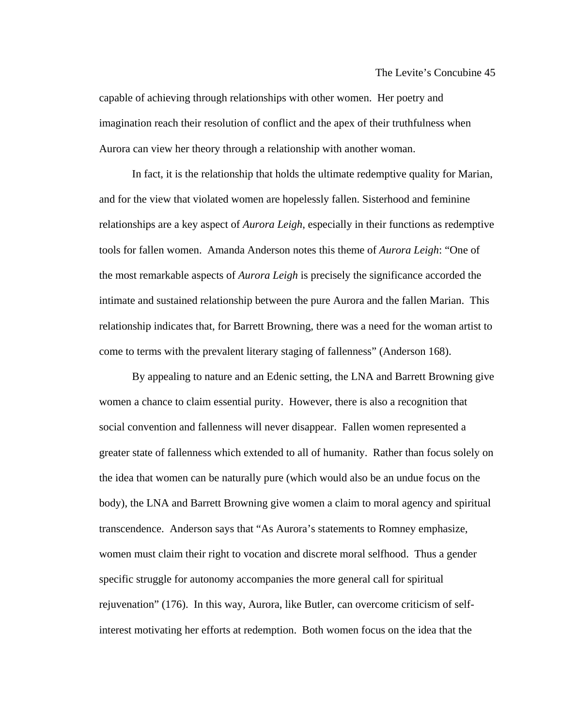capable of achieving through relationships with other women. Her poetry and imagination reach their resolution of conflict and the apex of their truthfulness when Aurora can view her theory through a relationship with another woman.

 In fact, it is the relationship that holds the ultimate redemptive quality for Marian, and for the view that violated women are hopelessly fallen. Sisterhood and feminine relationships are a key aspect of *Aurora Leigh*, especially in their functions as redemptive tools for fallen women. Amanda Anderson notes this theme of *Aurora Leigh*: "One of the most remarkable aspects of *Aurora Leigh* is precisely the significance accorded the intimate and sustained relationship between the pure Aurora and the fallen Marian. This relationship indicates that, for Barrett Browning, there was a need for the woman artist to come to terms with the prevalent literary staging of fallenness" (Anderson 168).

 By appealing to nature and an Edenic setting, the LNA and Barrett Browning give women a chance to claim essential purity. However, there is also a recognition that social convention and fallenness will never disappear. Fallen women represented a greater state of fallenness which extended to all of humanity. Rather than focus solely on the idea that women can be naturally pure (which would also be an undue focus on the body), the LNA and Barrett Browning give women a claim to moral agency and spiritual transcendence. Anderson says that "As Aurora's statements to Romney emphasize, women must claim their right to vocation and discrete moral selfhood. Thus a gender specific struggle for autonomy accompanies the more general call for spiritual rejuvenation" (176). In this way, Aurora, like Butler, can overcome criticism of selfinterest motivating her efforts at redemption. Both women focus on the idea that the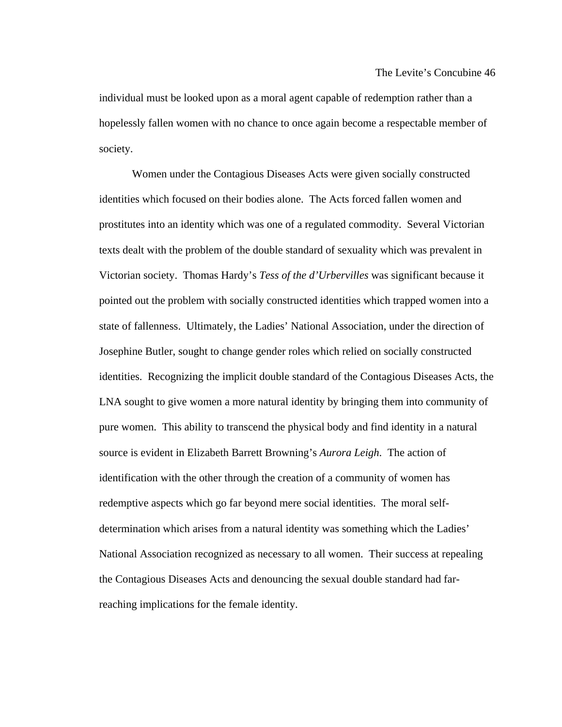individual must be looked upon as a moral agent capable of redemption rather than a hopelessly fallen women with no chance to once again become a respectable member of society.

 Women under the Contagious Diseases Acts were given socially constructed identities which focused on their bodies alone. The Acts forced fallen women and prostitutes into an identity which was one of a regulated commodity. Several Victorian texts dealt with the problem of the double standard of sexuality which was prevalent in Victorian society. Thomas Hardy's *Tess of the d'Urbervilles* was significant because it pointed out the problem with socially constructed identities which trapped women into a state of fallenness. Ultimately, the Ladies' National Association, under the direction of Josephine Butler, sought to change gender roles which relied on socially constructed identities. Recognizing the implicit double standard of the Contagious Diseases Acts, the LNA sought to give women a more natural identity by bringing them into community of pure women. This ability to transcend the physical body and find identity in a natural source is evident in Elizabeth Barrett Browning's *Aurora Leigh*. The action of identification with the other through the creation of a community of women has redemptive aspects which go far beyond mere social identities. The moral selfdetermination which arises from a natural identity was something which the Ladies' National Association recognized as necessary to all women. Their success at repealing the Contagious Diseases Acts and denouncing the sexual double standard had farreaching implications for the female identity.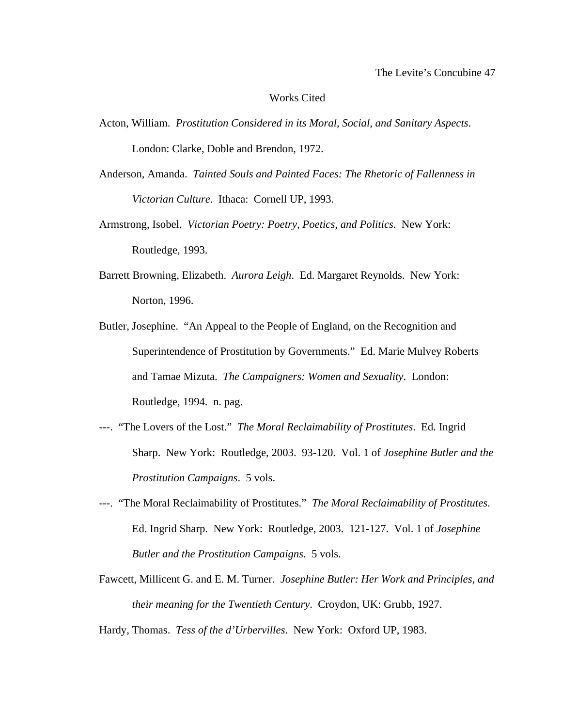### Works Cited

- Acton, William. *Prostitution Considered in its Moral, Social, and Sanitary Aspects*. London: Clarke, Doble and Brendon, 1972.
- Anderson, Amanda. *Tainted Souls and Painted Faces: The Rhetoric of Fallenness in Victorian Culture*. Ithaca: Cornell UP, 1993.
- Armstrong, Isobel. *Victorian Poetry: Poetry, Poetics, and Politics*. New York: Routledge, 1993.
- Barrett Browning, Elizabeth. *Aurora Leigh*. Ed. Margaret Reynolds. New York: Norton, 1996.
- Butler, Josephine. "An Appeal to the People of England, on the Recognition and Superintendence of Prostitution by Governments." Ed. Marie Mulvey Roberts and Tamae Mizuta. *The Campaigners: Women and Sexuality*. London: Routledge, 1994. n. pag.
- ---. "The Lovers of the Lost." *The Moral Reclaimability of Prostitutes*. Ed. Ingrid Sharp. New York: Routledge, 2003. 93-120. Vol. 1 of *Josephine Butler and the Prostitution Campaigns*. 5 vols.
- ---. "The Moral Reclaimability of Prostitutes." *The Moral Reclaimability of Prostitutes*. Ed. Ingrid Sharp. New York: Routledge, 2003. 121-127. Vol. 1 of *Josephine Butler and the Prostitution Campaigns*. 5 vols.
- Fawcett, Millicent G. and E. M. Turner. *Josephine Butler: Her Work and Principles, and their meaning for the Twentieth Century*. Croydon, UK: Grubb, 1927.

Hardy, Thomas. *Tess of the d'Urbervilles*. New York: Oxford UP, 1983.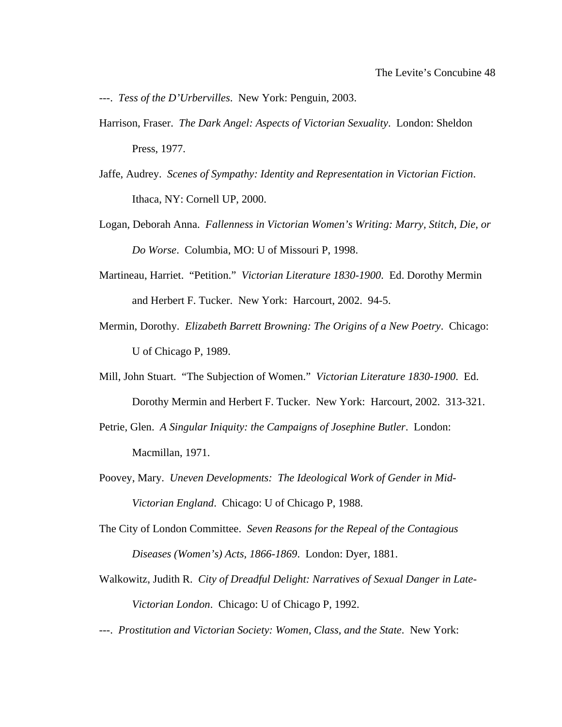---. *Tess of the D'Urbervilles*. New York: Penguin, 2003.

- Harrison, Fraser. *The Dark Angel: Aspects of Victorian Sexuality*. London: Sheldon Press, 1977.
- Jaffe, Audrey. *Scenes of Sympathy: Identity and Representation in Victorian Fiction*. Ithaca, NY: Cornell UP, 2000.
- Logan, Deborah Anna. *Fallenness in Victorian Women's Writing: Marry, Stitch, Die, or Do Worse*. Columbia, MO: U of Missouri P, 1998.
- Martineau, Harriet. "Petition." *Victorian Literature 1830-1900*. Ed. Dorothy Mermin and Herbert F. Tucker. New York: Harcourt, 2002. 94-5.
- Mermin, Dorothy. *Elizabeth Barrett Browning: The Origins of a New Poetry*. Chicago: U of Chicago P, 1989.
- Mill, John Stuart. "The Subjection of Women." *Victorian Literature 1830-1900*. Ed. Dorothy Mermin and Herbert F. Tucker. New York: Harcourt, 2002. 313-321.
- Petrie, Glen. *A Singular Iniquity: the Campaigns of Josephine Butler*. London: Macmillan, 1971.
- Poovey, Mary. *Uneven Developments: The Ideological Work of Gender in Mid-Victorian England*. Chicago: U of Chicago P, 1988.
- The City of London Committee. *Seven Reasons for the Repeal of the Contagious Diseases (Women's) Acts, 1866-1869*. London: Dyer, 1881.
- Walkowitz, Judith R. *City of Dreadful Delight: Narratives of Sexual Danger in Late-Victorian London*. Chicago: U of Chicago P, 1992.
- ---. *Prostitution and Victorian Society: Women, Class, and the State*. New York: